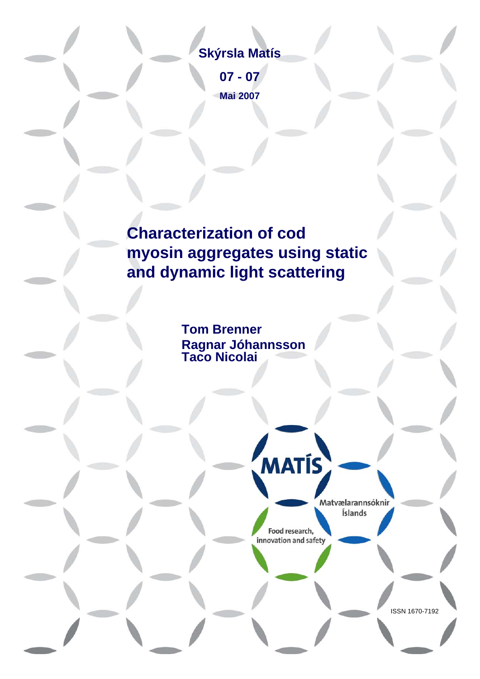## **Skýrsla Matís**

**07 - 07 Mai 2007**

# **Characterization of cod myosin aggregates using static and dynamic light scattering**

**Tom Brenner Ragnar Jóhannsson Taco Nicolai**

> Matyælarannsóknir Íslands

> > ISSN 1670-7192

Food research, innovation and safety

**MATÍS**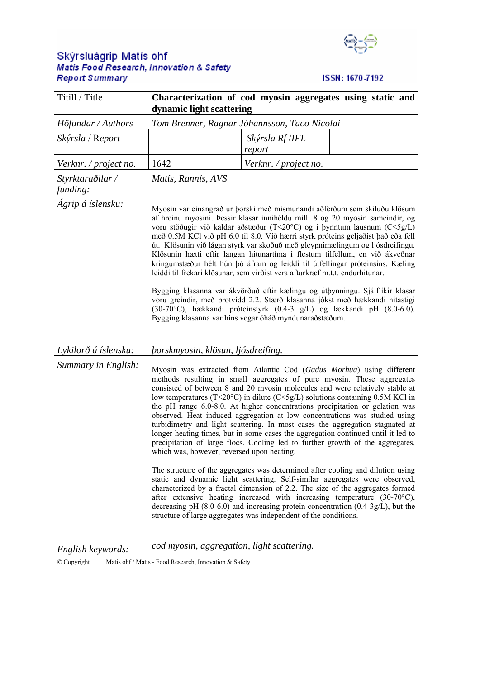# Skýrsluágrip Matís ohf<br>Matis Food Research, Innovation & Safety **Report Summary**



## ISSN: 1670-7192

| Titill / Title               | Characterization of cod myosin aggregates using static and<br>dynamic light scattering                                                                                                                                                                                                                                                                                                                                                                                                                                                                                                                                                                                                                                                                                                                                                                                                                                                                           |                           |  |
|------------------------------|------------------------------------------------------------------------------------------------------------------------------------------------------------------------------------------------------------------------------------------------------------------------------------------------------------------------------------------------------------------------------------------------------------------------------------------------------------------------------------------------------------------------------------------------------------------------------------------------------------------------------------------------------------------------------------------------------------------------------------------------------------------------------------------------------------------------------------------------------------------------------------------------------------------------------------------------------------------|---------------------------|--|
| Höfundar / Authors           | Tom Brenner, Ragnar Jóhannsson, Taco Nicolai                                                                                                                                                                                                                                                                                                                                                                                                                                                                                                                                                                                                                                                                                                                                                                                                                                                                                                                     |                           |  |
| Skýrsla / Report             |                                                                                                                                                                                                                                                                                                                                                                                                                                                                                                                                                                                                                                                                                                                                                                                                                                                                                                                                                                  | Skýrsla Rf /IFL<br>report |  |
| Verknr. / project no.        | 1642                                                                                                                                                                                                                                                                                                                                                                                                                                                                                                                                                                                                                                                                                                                                                                                                                                                                                                                                                             | Verknr. / project no.     |  |
| Styrktaraðilar /<br>funding: | Matís, Rannís, AVS                                                                                                                                                                                                                                                                                                                                                                                                                                                                                                                                                                                                                                                                                                                                                                                                                                                                                                                                               |                           |  |
| Ágrip á íslensku:            | Myosin var einangrað úr þorski með mismunandi aðferðum sem skiluðu klösum<br>af hreinu myosini. Þessir klasar innihéldu milli 8 og 20 myosin sameindir, og<br>voru stöðugir við kaldar aðstæður (T<20°C) og í þynntum lausnum (C<5g/L)<br>með 0.5M KCl við pH 6.0 til 8.0. Við hærri styrk próteins geljaðist það eða féll<br>út. Klösunin við lágan styrk var skoðuð með gleypnimælingum og ljósdreifingu.<br>Klösunin hætti eftir langan hitunartíma í flestum tilfellum, en við ákveðnar<br>kringumstæður hélt hún þó áfram og leiddi til útfellingar próteinsins. Kæling<br>leiddi til frekari klösunar, sem virðist vera afturkræf m.t.t. endurhitunar.<br>Bygging klasanna var ákvörðuð eftir kælingu og útþynningu. Sjálflíkir klasar<br>voru greindir, með brotvídd 2.2. Stærð klasanna jókst með hækkandi hitastigi<br>(30-70°C), hækkandi próteinstyrk (0.4-3 g/L) og lækkandi pH (8.0-6.0).<br>Bygging klasanna var hins vegar óháð myndunaraðstæðum. |                           |  |
| Lykilorð á íslensku:         | þorskmyosin, klösun, ljósdreifing.                                                                                                                                                                                                                                                                                                                                                                                                                                                                                                                                                                                                                                                                                                                                                                                                                                                                                                                               |                           |  |
| Summary in English:          | Myosin was extracted from Atlantic Cod (Gadus Morhua) using different<br>methods resulting in small aggregates of pure myosin. These aggregates<br>consisted of between 8 and 20 myosin molecules and were relatively stable at<br>low temperatures (T<20°C) in dilute (C<5g/L) solutions containing 0.5M KCl in<br>the pH range 6.0-8.0. At higher concentrations precipitation or gelation was<br>observed. Heat induced aggregation at low concentrations was studied using<br>turbidimetry and light scattering. In most cases the aggregation stagnated at<br>longer heating times, but in some cases the aggregation continued until it led to<br>precipitation of large flocs. Cooling led to further growth of the aggregates,<br>which was, however, reversed upon heating.                                                                                                                                                                             |                           |  |
|                              | The structure of the aggregates was determined after cooling and dilution using<br>static and dynamic light scattering. Self-similar aggregates were observed,<br>characterized by a fractal dimension of 2.2. The size of the aggregates formed<br>after extensive heating increased with increasing temperature $(30\text{-}70^{\circ}\text{C})$ ,<br>decreasing pH $(8.0-6.0)$ and increasing protein concentration $(0.4-3g/L)$ , but the<br>structure of large aggregates was independent of the conditions.                                                                                                                                                                                                                                                                                                                                                                                                                                                |                           |  |
| English keywords:            | cod myosin, aggregation, light scattering.                                                                                                                                                                                                                                                                                                                                                                                                                                                                                                                                                                                                                                                                                                                                                                                                                                                                                                                       |                           |  |

© Copyright Matís ohf / Matis - Food Research, Innovation & Safety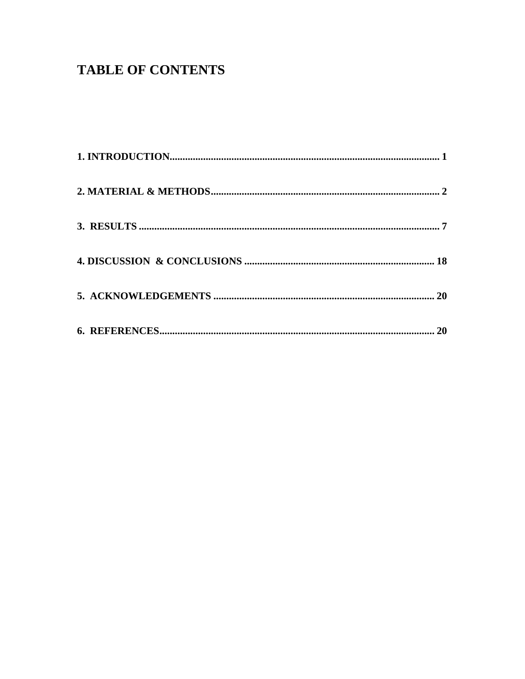## **TABLE OF CONTENTS**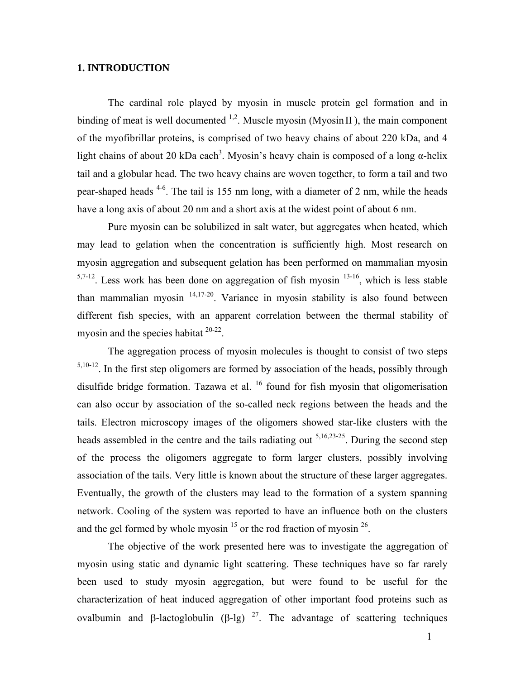## **1. INTRODUCTION**

The cardinal role played by myosin in muscle protein gel formation and in binding of meat is well documented  $1,2$ . Muscle myosin (Myosin II), the main component of the myofibrillar proteins, is comprised of two heavy chains of about 220 kDa, and 4 light chains of about 20 kDa each<sup>3</sup>. Myosin's heavy chain is composed of a long  $\alpha$ -helix tail and a globular head. The two heavy chains are woven together, to form a tail and two pear-shaped heads  $4-6$ . The tail is 155 nm long, with a diameter of 2 nm, while the heads have a long axis of about 20 nm and a short axis at the widest point of about 6 nm.

Pure myosin can be solubilized in salt water, but aggregates when heated, which may lead to gelation when the concentration is sufficiently high. Most research on myosin aggregation and subsequent gelation has been performed on mammalian myosin  $5,7-12$ . Less work has been done on aggregation of fish myosin  $13-16$ , which is less stable than mammalian myosin 14,17-20. Variance in myosin stability is also found between different fish species, with an apparent correlation between the thermal stability of myosin and the species habitat  $20-22$ .

The aggregation process of myosin molecules is thought to consist of two steps  $5,10-12$ . In the first step oligomers are formed by association of the heads, possibly through disulfide bridge formation. Tazawa et al.  $^{16}$  found for fish myosin that oligomerisation can also occur by association of the so-called neck regions between the heads and the tails. Electron microscopy images of the oligomers showed star-like clusters with the heads assembled in the centre and the tails radiating out  $5,16,23-25$ . During the second step of the process the oligomers aggregate to form larger clusters, possibly involving association of the tails. Very little is known about the structure of these larger aggregates. Eventually, the growth of the clusters may lead to the formation of a system spanning network. Cooling of the system was reported to have an influence both on the clusters and the gel formed by whole myosin<sup>15</sup> or the rod fraction of myosin<sup>26</sup>.

 The objective of the work presented here was to investigate the aggregation of myosin using static and dynamic light scattering. These techniques have so far rarely been used to study myosin aggregation, but were found to be useful for the characterization of heat induced aggregation of other important food proteins such as ovalbumin and β-lactoglobulin (β-lg) <sup>27</sup>. The advantage of scattering techniques

1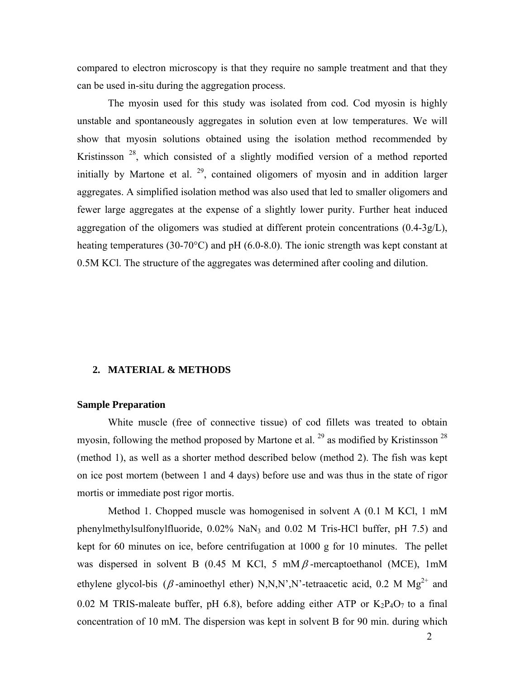compared to electron microscopy is that they require no sample treatment and that they can be used in-situ during the aggregation process.

The myosin used for this study was isolated from cod. Cod myosin is highly unstable and spontaneously aggregates in solution even at low temperatures. We will show that myosin solutions obtained using the isolation method recommended by Kristinsson 28, which consisted of a slightly modified version of a method reported initially by Martone et al.  $29$ , contained oligomers of myosin and in addition larger aggregates. A simplified isolation method was also used that led to smaller oligomers and fewer large aggregates at the expense of a slightly lower purity. Further heat induced aggregation of the oligomers was studied at different protein concentrations  $(0.4\n-3g/L)$ , heating temperatures (30-70°C) and pH (6.0-8.0). The ionic strength was kept constant at 0.5M KCl. The structure of the aggregates was determined after cooling and dilution.

## **2. MATERIAL & METHODS**

#### **Sample Preparation**

White muscle (free of connective tissue) of cod fillets was treated to obtain myosin, following the method proposed by Martone et al.  $^{29}$  as modified by Kristinsson<sup>28</sup> (method 1), as well as a shorter method described below (method 2). The fish was kept on ice post mortem (between 1 and 4 days) before use and was thus in the state of rigor mortis or immediate post rigor mortis.

Method 1. Chopped muscle was homogenised in solvent A (0.1 M KCl, 1 mM phenylmethylsulfonylfluoride, 0.02% NaN3 and 0.02 M Tris-HCl buffer, pH 7.5) and kept for 60 minutes on ice, before centrifugation at 1000 g for 10 minutes. The pellet was dispersed in solvent B (0.45 M KCl, 5 mM $\beta$ -mercaptoethanol (MCE), 1mM ethylene glycol-bis ( $\beta$ -aminoethyl ether) N,N,N',N'-tetraacetic acid, 0.2 M Mg<sup>2+</sup> and 0.02 M TRIS-maleate buffer, pH 6.8), before adding either ATP or  $K_2P_4O_7$  to a final concentration of 10 mM. The dispersion was kept in solvent B for 90 min. during which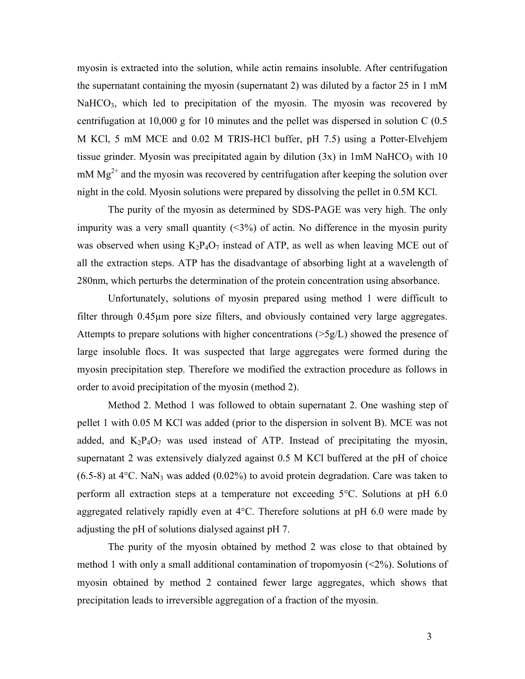myosin is extracted into the solution, while actin remains insoluble. After centrifugation the supernatant containing the myosin (supernatant 2) was diluted by a factor 25 in 1 mM  $NaHCO<sub>3</sub>$ , which led to precipitation of the myosin. The myosin was recovered by centrifugation at 10,000 g for 10 minutes and the pellet was dispersed in solution C (0.5 M KCl, 5 mM MCE and 0.02 M TRIS-HCl buffer, pH 7.5) using a Potter-Elvehjem tissue grinder. Myosin was precipitated again by dilution  $(3x)$  in 1mM NaHCO<sub>3</sub> with 10  $mM$  Mg<sup>2+</sup> and the myosin was recovered by centrifugation after keeping the solution over night in the cold. Myosin solutions were prepared by dissolving the pellet in 0.5M KCl.

The purity of the myosin as determined by SDS-PAGE was very high. The only impurity was a very small quantity  $(\leq 3\%)$  of actin. No difference in the myosin purity was observed when using  $K_2P_4O_7$  instead of ATP, as well as when leaving MCE out of all the extraction steps. ATP has the disadvantage of absorbing light at a wavelength of 280nm, which perturbs the determination of the protein concentration using absorbance.

Unfortunately, solutions of myosin prepared using method 1 were difficult to filter through 0.45µm pore size filters, and obviously contained very large aggregates. Attempts to prepare solutions with higher concentrations (>5g/L) showed the presence of large insoluble flocs. It was suspected that large aggregates were formed during the myosin precipitation step. Therefore we modified the extraction procedure as follows in order to avoid precipitation of the myosin (method 2).

Method 2. Method 1 was followed to obtain supernatant 2. One washing step of pellet 1 with 0.05 M KCl was added (prior to the dispersion in solvent B). MCE was not added, and  $K_2P_4O_7$  was used instead of ATP. Instead of precipitating the myosin, supernatant 2 was extensively dialyzed against 0.5 M KCl buffered at the pH of choice  $(6.5-8)$  at 4<sup>o</sup>C. NaN<sub>3</sub> was added  $(0.02\%)$  to avoid protein degradation. Care was taken to perform all extraction steps at a temperature not exceeding 5°C. Solutions at pH 6.0 aggregated relatively rapidly even at 4°C. Therefore solutions at pH 6.0 were made by adjusting the pH of solutions dialysed against pH 7.

The purity of the myosin obtained by method 2 was close to that obtained by method 1 with only a small additional contamination of tropomyosin (<2%). Solutions of myosin obtained by method 2 contained fewer large aggregates, which shows that precipitation leads to irreversible aggregation of a fraction of the myosin.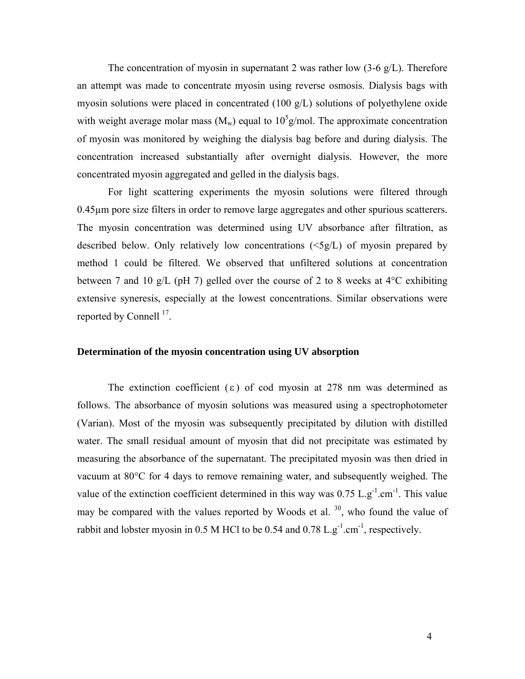The concentration of myosin in supernatant 2 was rather low  $(3-6 \text{ g/L})$ . Therefore an attempt was made to concentrate myosin using reverse osmosis. Dialysis bags with myosin solutions were placed in concentrated (100 g/L) solutions of polyethylene oxide with weight average molar mass  $(M_w)$  equal to  $10<sup>5</sup>$  g/mol. The approximate concentration of myosin was monitored by weighing the dialysis bag before and during dialysis. The concentration increased substantially after overnight dialysis. However, the more concentrated myosin aggregated and gelled in the dialysis bags.

For light scattering experiments the myosin solutions were filtered through 0.45µm pore size filters in order to remove large aggregates and other spurious scatterers. The myosin concentration was determined using UV absorbance after filtration, as described below. Only relatively low concentrations (<5g/L) of myosin prepared by method 1 could be filtered. We observed that unfiltered solutions at concentration between 7 and 10 g/L (pH 7) gelled over the course of 2 to 8 weeks at  $4^{\circ}$ C exhibiting extensive syneresis, especially at the lowest concentrations. Similar observations were reported by Connell  $^{17}$ .

#### **Determination of the myosin concentration using UV absorption**

The extinction coefficient ( $\varepsilon$ ) of cod myosin at 278 nm was determined as follows. The absorbance of myosin solutions was measured using a spectrophotometer (Varian). Most of the myosin was subsequently precipitated by dilution with distilled water. The small residual amount of myosin that did not precipitate was estimated by measuring the absorbance of the supernatant. The precipitated myosin was then dried in vacuum at 80°C for 4 days to remove remaining water, and subsequently weighed. The value of the extinction coefficient determined in this way was  $0.75 \mathrm{~L~g}^{-1}$ .cm<sup>-1</sup>. This value may be compared with the values reported by Woods et al.  $30$ , who found the value of rabbit and lobster myosin in 0.5 M HCl to be 0.54 and 0.78 L.g<sup>-1</sup>.cm<sup>-1</sup>, respectively.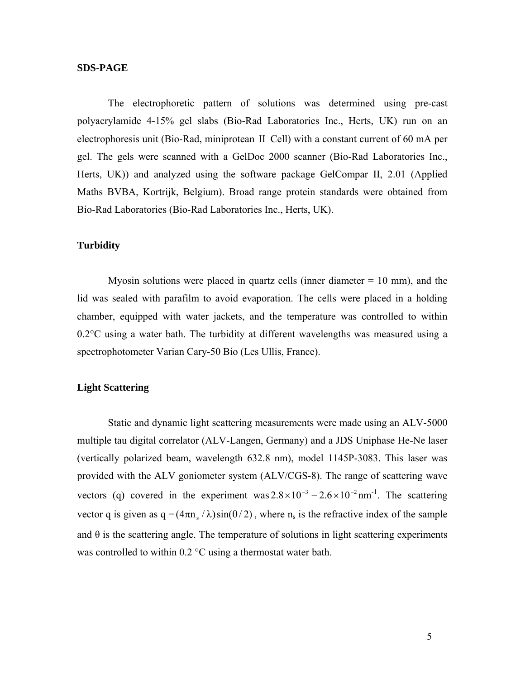## **SDS-PAGE**

The electrophoretic pattern of solutions was determined using pre-cast polyacrylamide 4-15% gel slabs (Bio-Rad Laboratories Inc., Herts, UK) run on an electrophoresis unit (Bio-Rad, miniprotean ΙΙ Cell) with a constant current of 60 mA per gel. The gels were scanned with a GelDoc 2000 scanner (Bio-Rad Laboratories Inc., Herts, UK)) and analyzed using the software package GelCompar II, 2.01 (Applied Maths BVBA, Kortrijk, Belgium). Broad range protein standards were obtained from Bio-Rad Laboratories (Bio-Rad Laboratories Inc., Herts, UK).

## **Turbidity**

Myosin solutions were placed in quartz cells (inner diameter  $= 10$  mm), and the lid was sealed with parafilm to avoid evaporation. The cells were placed in a holding chamber, equipped with water jackets, and the temperature was controlled to within 0.2°C using a water bath. The turbidity at different wavelengths was measured using a spectrophotometer Varian Cary-50 Bio (Les Ullis, France).

## **Light Scattering**

Static and dynamic light scattering measurements were made using an ALV-5000 multiple tau digital correlator (ALV-Langen, Germany) and a JDS Uniphase He-Ne laser (vertically polarized beam, wavelength 632.8 nm), model 1145P-3083. This laser was provided with the ALV goniometer system (ALV/CGS-8). The range of scattering wave vectors (q) covered in the experiment was  $2.8 \times 10^{-3} - 2.6 \times 10^{-2}$  nm<sup>-1</sup>. The scattering vector q is given as  $q = (4\pi n_s / \lambda) \sin(\theta / 2)$ , where  $n_s$  is the refractive index of the sample and  $\theta$  is the scattering angle. The temperature of solutions in light scattering experiments was controlled to within 0.2 °C using a thermostat water bath.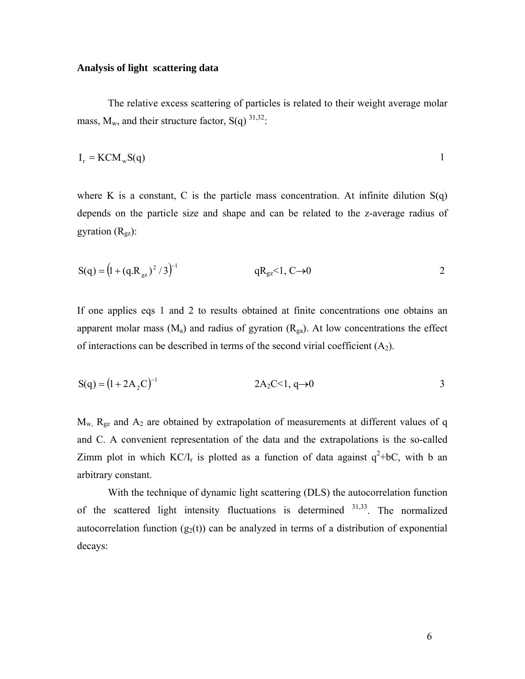## **Analysis of light scattering data**

The relative excess scattering of particles is related to their weight average molar mass,  $M_w$ , and their structure factor,  $S(q)^{31,32}$ :

$$
I_r = KCM_w S(q)
$$

where K is a constant, C is the particle mass concentration. At infinite dilution  $S(q)$ depends on the particle size and shape and can be related to the z-average radius of gyration  $(R_{\text{gz}})$ :

$$
S(q) = (1 + (q.Rgz)2 / 3)-1
$$
 qR<sub>gz</sub><1, C\to 0

If one applies eqs 1 and 2 to results obtained at finite concentrations one obtains an apparent molar mass  $(M_a)$  and radius of gyration  $(R_{ga})$ . At low concentrations the effect of interactions can be described in terms of the second virial coefficient  $(A_2)$ .

$$
S(q) = (1 + 2A_2C)^{-1}
$$
 2A<sub>2</sub>C<1, q\to 0

 $M_w$ ,  $R_{gz}$  and  $A_2$  are obtained by extrapolation of measurements at different values of q and C. A convenient representation of the data and the extrapolations is the so-called Zimm plot in which  $KC/I_r$  is plotted as a function of data against  $q^2+bC$ , with b an arbitrary constant.

With the technique of dynamic light scattering (DLS) the autocorrelation function of the scattered light intensity fluctuations is determined  $31,33$ . The normalized autocorrelation function  $(g_2(t))$  can be analyzed in terms of a distribution of exponential decays: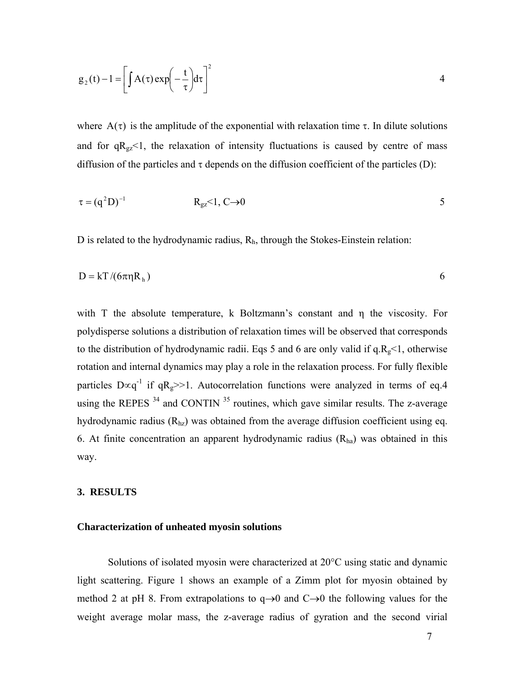$$
g_2(t) - 1 = \left[ \int A(\tau) \exp\left(-\frac{t}{\tau}\right) d\tau \right]^2
$$

where  $A(\tau)$  is the amplitude of the exponential with relaxation time  $\tau$ . In dilute solutions and for  $qR_{gz}$ <1, the relaxation of intensity fluctuations is caused by centre of mass diffusion of the particles and  $\tau$  depends on the diffusion coefficient of the particles (D):

$$
\tau = (q^2 D)^{-1} \qquad R_{gz} < 1, C \to 0
$$

D is related to the hydrodynamic radius,  $R<sub>h</sub>$ , through the Stokes-Einstein relation:

$$
D = kT / (6\pi \eta R_h)
$$

with T the absolute temperature, k Boltzmann's constant and η the viscosity. For polydisperse solutions a distribution of relaxation times will be observed that corresponds to the distribution of hydrodynamic radii. Eqs 5 and 6 are only valid if  $q.R_g \leq 1$ , otherwise rotation and internal dynamics may play a role in the relaxation process. For fully flexible particles D∝q<sup>-1</sup> if qR<sub>g</sub>>>1. Autocorrelation functions were analyzed in terms of eq.4 using the REPES  $34$  and CONTIN  $35$  routines, which gave similar results. The z-average hydrodynamic radius  $(R<sub>hz</sub>)$  was obtained from the average diffusion coefficient using eq. 6. At finite concentration an apparent hydrodynamic radius  $(R<sub>ha</sub>)$  was obtained in this way.

## **3. RESULTS**

#### **Characterization of unheated myosin solutions**

Solutions of isolated myosin were characterized at 20°C using static and dynamic light scattering. Figure 1 shows an example of a Zimm plot for myosin obtained by method 2 at pH 8. From extrapolations to  $q\rightarrow 0$  and  $C\rightarrow 0$  the following values for the weight average molar mass, the z-average radius of gyration and the second virial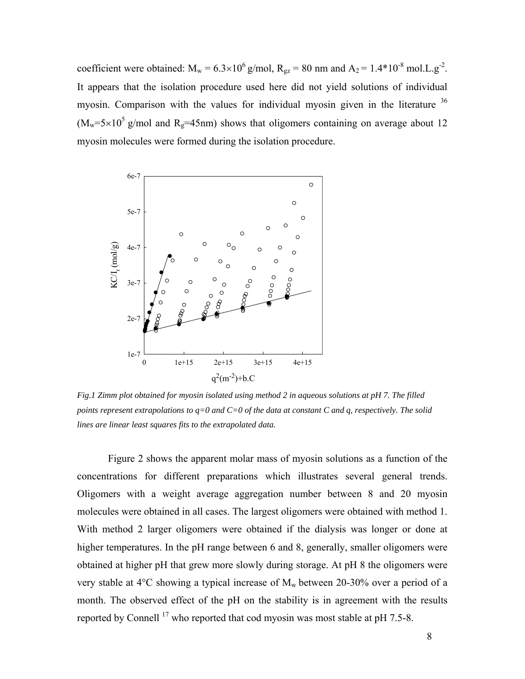coefficient were obtained:  $M_w = 6.3 \times 10^6$  g/mol,  $R_{gz} = 80$  nm and  $A_2 = 1.4 * 10^{-8}$  mol.L.g<sup>-2</sup>. It appears that the isolation procedure used here did not yield solutions of individual myosin. Comparison with the values for individual myosin given in the literature  $36$  $(M_w=5\times10^5 \text{ g/mol}$  and R<sub>g</sub>=45nm) shows that oligomers containing on average about 12 myosin molecules were formed during the isolation procedure.



*Fig.1 Zimm plot obtained for myosin isolated using method 2 in aqueous solutions at pH 7. The filled points represent extrapolations to q=0 and C=0 of the data at constant C and q, respectively. The solid lines are linear least squares fits to the extrapolated data.* 

Figure 2 shows the apparent molar mass of myosin solutions as a function of the concentrations for different preparations which illustrates several general trends. Oligomers with a weight average aggregation number between 8 and 20 myosin molecules were obtained in all cases. The largest oligomers were obtained with method 1. With method 2 larger oligomers were obtained if the dialysis was longer or done at higher temperatures. In the pH range between 6 and 8, generally, smaller oligomers were obtained at higher pH that grew more slowly during storage. At pH 8 the oligomers were very stable at  $4^{\circ}$ C showing a typical increase of  $M_w$  between 20-30% over a period of a month. The observed effect of the pH on the stability is in agreement with the results reported by Connell  $^{17}$  who reported that cod myosin was most stable at pH 7.5-8.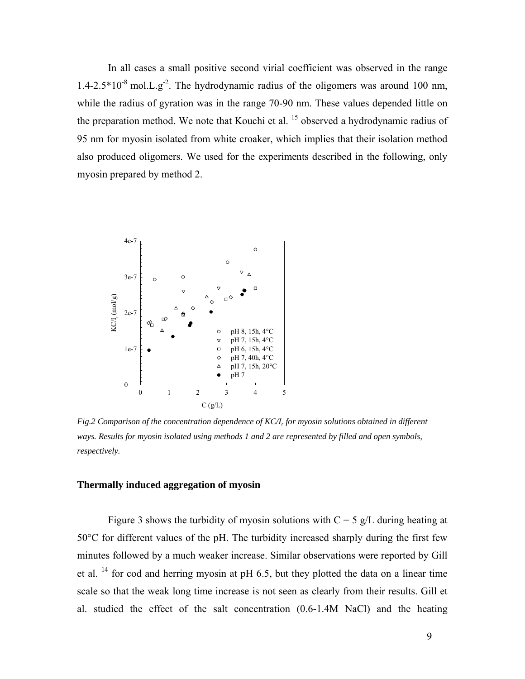In all cases a small positive second virial coefficient was observed in the range  $1.4$ -2.5<sup>\*</sup> $10^{-8}$  mol.L.g<sup>-2</sup>. The hydrodynamic radius of the oligomers was around 100 nm, while the radius of gyration was in the range 70-90 nm. These values depended little on the preparation method. We note that Kouchi et al. <sup>15</sup> observed a hydrodynamic radius of 95 nm for myosin isolated from white croaker, which implies that their isolation method also produced oligomers. We used for the experiments described in the following, only myosin prepared by method 2.



*Fig.2 Comparison of the concentration dependence of KC/Ir for myosin solutions obtained in different ways. Results for myosin isolated using methods 1 and 2 are represented by filled and open symbols, respectively.* 

## **Thermally induced aggregation of myosin**

Figure 3 shows the turbidity of myosin solutions with  $C = 5$  g/L during heating at 50°C for different values of the pH. The turbidity increased sharply during the first few minutes followed by a much weaker increase. Similar observations were reported by Gill et al. <sup>14</sup> for cod and herring myosin at pH 6.5, but they plotted the data on a linear time scale so that the weak long time increase is not seen as clearly from their results. Gill et al. studied the effect of the salt concentration (0.6-1.4M NaCl) and the heating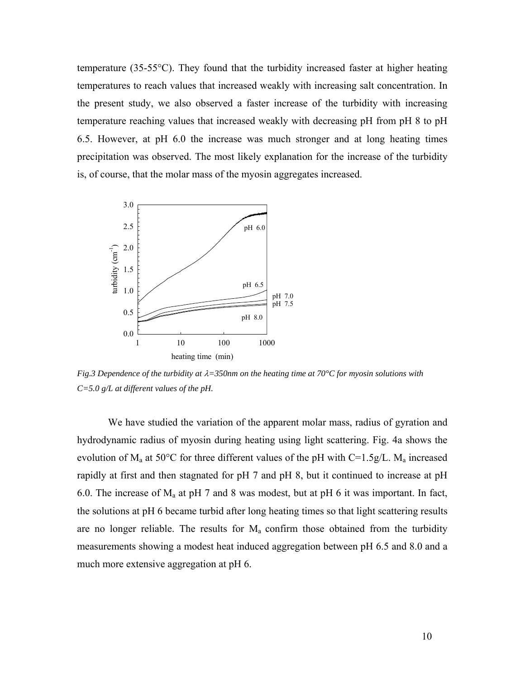temperature (35-55°C). They found that the turbidity increased faster at higher heating temperatures to reach values that increased weakly with increasing salt concentration. In the present study, we also observed a faster increase of the turbidity with increasing temperature reaching values that increased weakly with decreasing pH from pH 8 to pH 6.5. However, at pH 6.0 the increase was much stronger and at long heating times precipitation was observed. The most likely explanation for the increase of the turbidity is, of course, that the molar mass of the myosin aggregates increased.



*Fig.3 Dependence of the turbidity at* λ*=350nm on the heating time at 70°C for myosin solutions with C=5.0 g/L at different values of the pH.* 

We have studied the variation of the apparent molar mass, radius of gyration and hydrodynamic radius of myosin during heating using light scattering. Fig. 4a shows the evolution of  $M_a$  at 50°C for three different values of the pH with C=1.5g/L.  $M_a$  increased rapidly at first and then stagnated for pH 7 and pH 8, but it continued to increase at pH 6.0. The increase of  $M_a$  at pH 7 and 8 was modest, but at pH 6 it was important. In fact, the solutions at pH 6 became turbid after long heating times so that light scattering results are no longer reliable. The results for  $M_a$  confirm those obtained from the turbidity measurements showing a modest heat induced aggregation between pH 6.5 and 8.0 and a much more extensive aggregation at pH 6.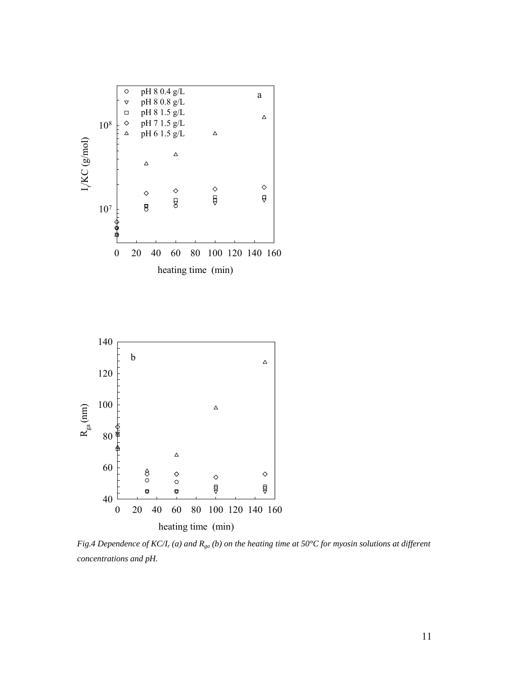

*Fig.4 Dependence of KC/Ir (a) and Rga (b) on the heating time at 50°C for myosin solutions at different concentrations and pH.*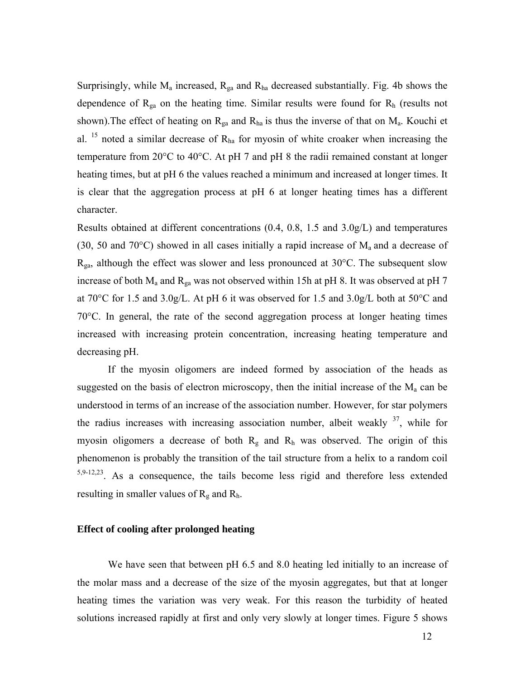Surprisingly, while  $M_a$  increased,  $R_{ga}$  and  $R_{ha}$  decreased substantially. Fig. 4b shows the dependence of  $R_{ga}$  on the heating time. Similar results were found for  $R_h$  (results not shown). The effect of heating on  $R_{ga}$  and  $R_{ha}$  is thus the inverse of that on  $M_a$ . Kouchi et al.  $^{15}$  noted a similar decrease of  $R_{ha}$  for myosin of white croaker when increasing the temperature from 20°C to 40°C. At pH 7 and pH 8 the radii remained constant at longer heating times, but at pH 6 the values reached a minimum and increased at longer times. It is clear that the aggregation process at pH 6 at longer heating times has a different character.

Results obtained at different concentrations (0.4, 0.8, 1.5 and 3.0g/L) and temperatures (30, 50 and 70 $^{\circ}$ C) showed in all cases initially a rapid increase of  $M_a$  and a decrease of  $R_{ga}$ , although the effect was slower and less pronounced at 30 $^{\circ}$ C. The subsequent slow increase of both  $M_a$  and  $R_{ga}$  was not observed within 15h at pH 8. It was observed at pH 7 at 70°C for 1.5 and 3.0g/L. At pH 6 it was observed for 1.5 and 3.0g/L both at 50°C and 70°C. In general, the rate of the second aggregation process at longer heating times increased with increasing protein concentration, increasing heating temperature and decreasing pH.

If the myosin oligomers are indeed formed by association of the heads as suggested on the basis of electron microscopy, then the initial increase of the  $M<sub>a</sub>$  can be understood in terms of an increase of the association number. However, for star polymers the radius increases with increasing association number, albeit weakly <sup>37</sup>, while for myosin oligomers a decrease of both  $R_g$  and  $R_h$  was observed. The origin of this phenomenon is probably the transition of the tail structure from a helix to a random coil 5,9-12,23. As a consequence, the tails become less rigid and therefore less extended resulting in smaller values of  $R_g$  and  $R_h$ .

## **Effect of cooling after prolonged heating**

We have seen that between pH 6.5 and 8.0 heating led initially to an increase of the molar mass and a decrease of the size of the myosin aggregates, but that at longer heating times the variation was very weak. For this reason the turbidity of heated solutions increased rapidly at first and only very slowly at longer times. Figure 5 shows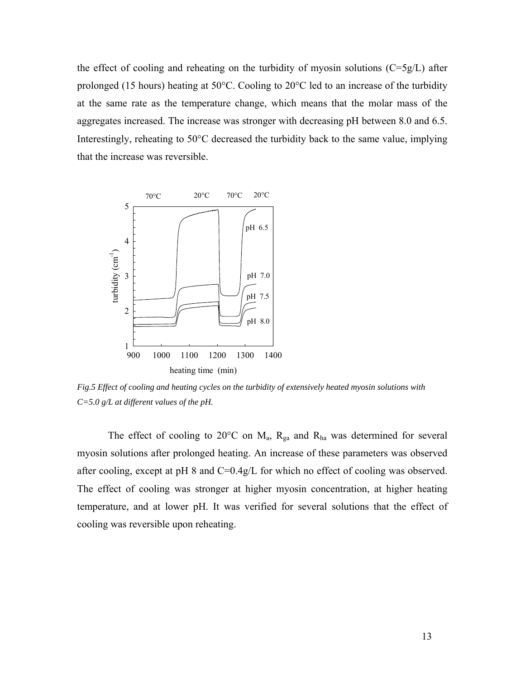the effect of cooling and reheating on the turbidity of myosin solutions  $(C=5g/L)$  after prolonged (15 hours) heating at 50°C. Cooling to 20°C led to an increase of the turbidity at the same rate as the temperature change, which means that the molar mass of the aggregates increased. The increase was stronger with decreasing pH between 8.0 and 6.5. Interestingly, reheating to 50°C decreased the turbidity back to the same value, implying that the increase was reversible.



*Fig.5 Effect of cooling and heating cycles on the turbidity of extensively heated myosin solutions with C=5.0 g/L at different values of the pH.* 

The effect of cooling to 20 $^{\circ}$ C on M<sub>a</sub>, R<sub>ga</sub> and R<sub>ha</sub> was determined for several myosin solutions after prolonged heating. An increase of these parameters was observed after cooling, except at pH 8 and C=0.4g/L for which no effect of cooling was observed. The effect of cooling was stronger at higher myosin concentration, at higher heating temperature, and at lower pH. It was verified for several solutions that the effect of cooling was reversible upon reheating.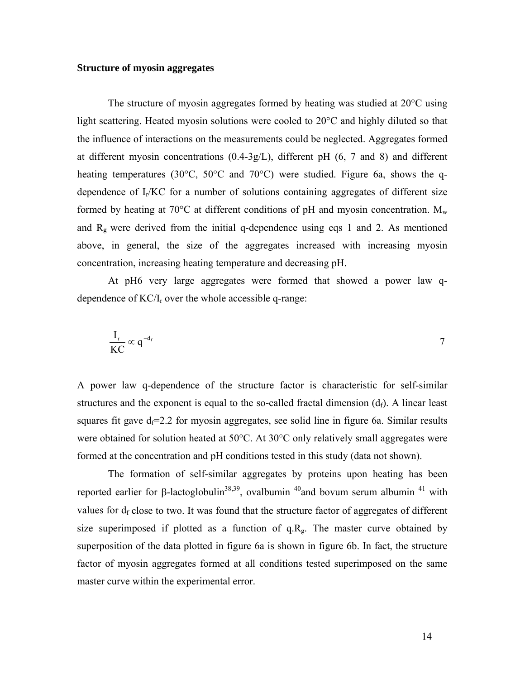## **Structure of myosin aggregates**

The structure of myosin aggregates formed by heating was studied at 20°C using light scattering. Heated myosin solutions were cooled to 20°C and highly diluted so that the influence of interactions on the measurements could be neglected. Aggregates formed at different myosin concentrations (0.4-3g/L), different pH (6, 7 and 8) and different heating temperatures (30°C, 50°C and 70°C) were studied. Figure 6a, shows the qdependence of  $I_r/KC$  for a number of solutions containing aggregates of different size formed by heating at 70 $^{\circ}$ C at different conditions of pH and myosin concentration.  $M_{w}$ and  $R_g$  were derived from the initial q-dependence using eqs 1 and 2. As mentioned above, in general, the size of the aggregates increased with increasing myosin concentration, increasing heating temperature and decreasing pH.

At pH6 very large aggregates were formed that showed a power law qdependence of  $KC/I_r$  over the whole accessible q-range:

$$
\frac{I_r}{KC} \propto q^{-d_f}
$$

A power law q-dependence of the structure factor is characteristic for self-similar structures and the exponent is equal to the so-called fractal dimension  $(d_f)$ . A linear least squares fit gave  $d_f=2.2$  for myosin aggregates, see solid line in figure 6a. Similar results were obtained for solution heated at 50°C. At 30°C only relatively small aggregates were formed at the concentration and pH conditions tested in this study (data not shown).

The formation of self-similar aggregates by proteins upon heating has been reported earlier for β-lactoglobulin<sup>38,39</sup>, ovalbumin <sup>40</sup>and bovum serum albumin <sup>41</sup> with values for  $d_f$  close to two. It was found that the structure factor of aggregates of different size superimposed if plotted as a function of  $q.R<sub>g</sub>$ . The master curve obtained by superposition of the data plotted in figure 6a is shown in figure 6b. In fact, the structure factor of myosin aggregates formed at all conditions tested superimposed on the same master curve within the experimental error.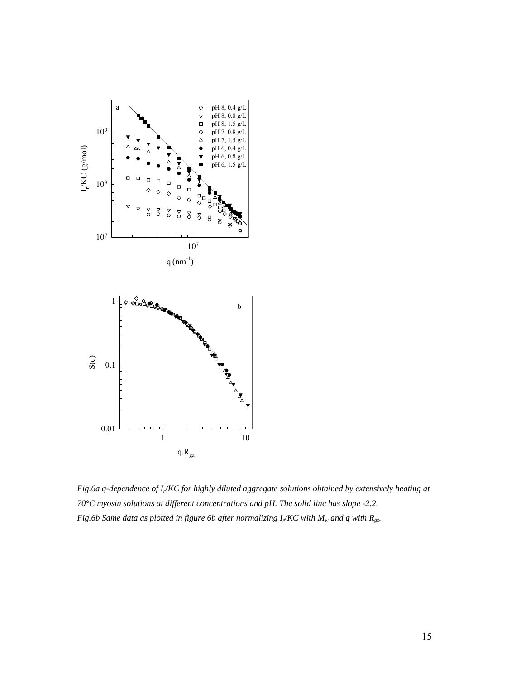

*Fig.6a q-dependence of Ir/KC for highly diluted aggregate solutions obtained by extensively heating at 70°C myosin solutions at different concentrations and pH. The solid line has slope -2.2. Fig.6b Same data as plotted in figure 6b after normalizing I<sub>r</sub>/KC with M<sub>w</sub> and q with R<sub>gz</sub>.*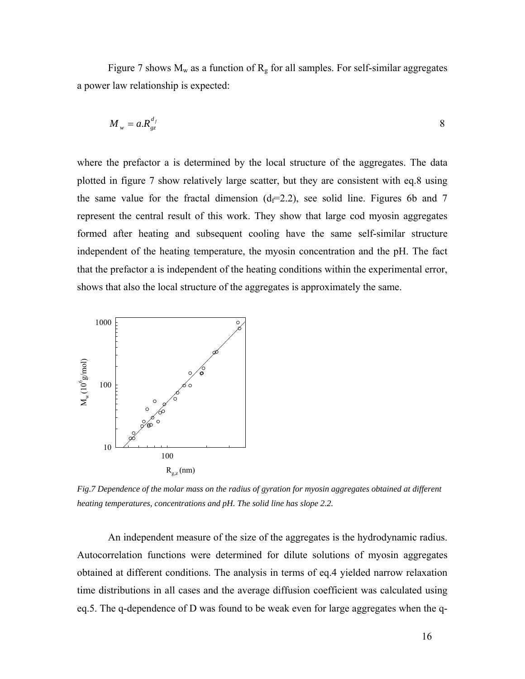Figure 7 shows  $M_w$  as a function of  $R_g$  for all samples. For self-similar aggregates a power law relationship is expected:

$$
M_{w} = a R_{gz}^{d_f} \tag{8}
$$

where the prefactor a is determined by the local structure of the aggregates. The data plotted in figure 7 show relatively large scatter, but they are consistent with eq.8 using the same value for the fractal dimension  $(d_f=2.2)$ , see solid line. Figures 6b and 7 represent the central result of this work. They show that large cod myosin aggregates formed after heating and subsequent cooling have the same self-similar structure independent of the heating temperature, the myosin concentration and the pH. The fact that the prefactor a is independent of the heating conditions within the experimental error, shows that also the local structure of the aggregates is approximately the same.



*Fig.7 Dependence of the molar mass on the radius of gyration for myosin aggregates obtained at different heating temperatures, concentrations and pH. The solid line has slope 2.2.* 

 An independent measure of the size of the aggregates is the hydrodynamic radius. Autocorrelation functions were determined for dilute solutions of myosin aggregates obtained at different conditions. The analysis in terms of eq.4 yielded narrow relaxation time distributions in all cases and the average diffusion coefficient was calculated using eq.5. The q-dependence of D was found to be weak even for large aggregates when the q-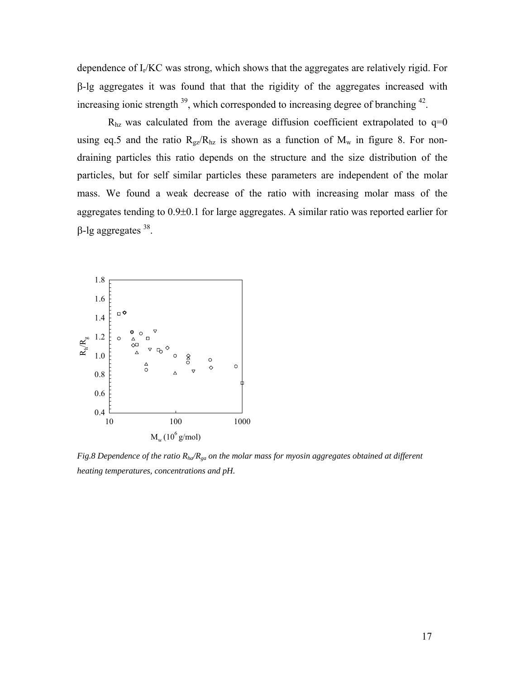dependence of Ir/KC was strong, which shows that the aggregates are relatively rigid. For β-lg aggregates it was found that that the rigidity of the aggregates increased with increasing ionic strength  $39$ , which corresponded to increasing degree of branching  $42$ .

 $R<sub>hz</sub>$  was calculated from the average diffusion coefficient extrapolated to  $q=0$ using eq.5 and the ratio  $R_{gz}/R_{hz}$  is shown as a function of  $M_w$  in figure 8. For nondraining particles this ratio depends on the structure and the size distribution of the particles, but for self similar particles these parameters are independent of the molar mass. We found a weak decrease of the ratio with increasing molar mass of the aggregates tending to 0.9±0.1 for large aggregates. A similar ratio was reported earlier for  $β$ -lg aggregates  $38$ .



*Fig.8 Dependence of the ratio Rha/Rga on the molar mass for myosin aggregates obtained at different heating temperatures, concentrations and pH.*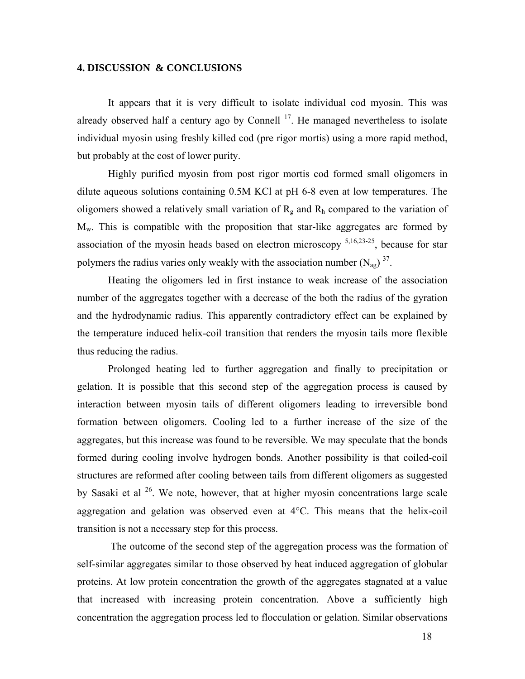## **4. DISCUSSION & CONCLUSIONS**

It appears that it is very difficult to isolate individual cod myosin. This was already observed half a century ago by Connell  $17$ . He managed nevertheless to isolate individual myosin using freshly killed cod (pre rigor mortis) using a more rapid method, but probably at the cost of lower purity.

Highly purified myosin from post rigor mortis cod formed small oligomers in dilute aqueous solutions containing 0.5M KCl at pH 6-8 even at low temperatures. The oligomers showed a relatively small variation of  $R_g$  and  $R_h$  compared to the variation of  $M_w$ . This is compatible with the proposition that star-like aggregates are formed by association of the myosin heads based on electron microscopy  $5,16,23-25$ , because for star polymers the radius varies only weakly with the association number  $(N_{\text{ap}})^{37}$ .

Heating the oligomers led in first instance to weak increase of the association number of the aggregates together with a decrease of the both the radius of the gyration and the hydrodynamic radius. This apparently contradictory effect can be explained by the temperature induced helix-coil transition that renders the myosin tails more flexible thus reducing the radius.

Prolonged heating led to further aggregation and finally to precipitation or gelation. It is possible that this second step of the aggregation process is caused by interaction between myosin tails of different oligomers leading to irreversible bond formation between oligomers. Cooling led to a further increase of the size of the aggregates, but this increase was found to be reversible. We may speculate that the bonds formed during cooling involve hydrogen bonds. Another possibility is that coiled-coil structures are reformed after cooling between tails from different oligomers as suggested by Sasaki et al  $26$ . We note, however, that at higher myosin concentrations large scale aggregation and gelation was observed even at 4°C. This means that the helix-coil transition is not a necessary step for this process.

 The outcome of the second step of the aggregation process was the formation of self-similar aggregates similar to those observed by heat induced aggregation of globular proteins. At low protein concentration the growth of the aggregates stagnated at a value that increased with increasing protein concentration. Above a sufficiently high concentration the aggregation process led to flocculation or gelation. Similar observations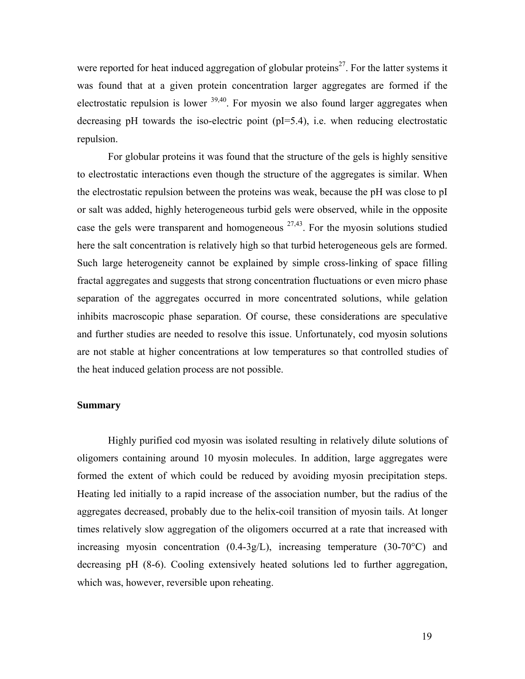were reported for heat induced aggregation of globular proteins<sup>27</sup>. For the latter systems it was found that at a given protein concentration larger aggregates are formed if the electrostatic repulsion is lower  $39,40$ . For myosin we also found larger aggregates when decreasing pH towards the iso-electric point (pI=5.4), i.e. when reducing electrostatic repulsion.

For globular proteins it was found that the structure of the gels is highly sensitive to electrostatic interactions even though the structure of the aggregates is similar. When the electrostatic repulsion between the proteins was weak, because the pH was close to pI or salt was added, highly heterogeneous turbid gels were observed, while in the opposite case the gels were transparent and homogeneous  $27,43$ . For the myosin solutions studied here the salt concentration is relatively high so that turbid heterogeneous gels are formed. Such large heterogeneity cannot be explained by simple cross-linking of space filling fractal aggregates and suggests that strong concentration fluctuations or even micro phase separation of the aggregates occurred in more concentrated solutions, while gelation inhibits macroscopic phase separation. Of course, these considerations are speculative and further studies are needed to resolve this issue. Unfortunately, cod myosin solutions are not stable at higher concentrations at low temperatures so that controlled studies of the heat induced gelation process are not possible.

## **Summary**

Highly purified cod myosin was isolated resulting in relatively dilute solutions of oligomers containing around 10 myosin molecules. In addition, large aggregates were formed the extent of which could be reduced by avoiding myosin precipitation steps. Heating led initially to a rapid increase of the association number, but the radius of the aggregates decreased, probably due to the helix-coil transition of myosin tails. At longer times relatively slow aggregation of the oligomers occurred at a rate that increased with increasing myosin concentration (0.4-3g/L), increasing temperature (30-70°C) and decreasing pH (8-6). Cooling extensively heated solutions led to further aggregation, which was, however, reversible upon reheating.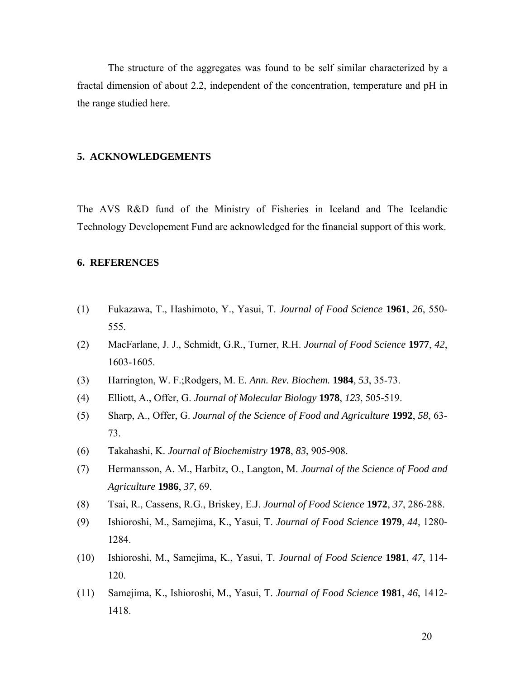The structure of the aggregates was found to be self similar characterized by a fractal dimension of about 2.2, independent of the concentration, temperature and pH in the range studied here.

## **5. ACKNOWLEDGEMENTS**

The AVS R&D fund of the Ministry of Fisheries in Iceland and The Icelandic Technology Developement Fund are acknowledged for the financial support of this work.

#### **6. REFERENCES**

- (1) Fukazawa, T., Hashimoto, Y., Yasui, T. *Journal of Food Science* **1961**, *26*, 550- 555.
- (2) MacFarlane, J. J., Schmidt, G.R., Turner, R.H. *Journal of Food Science* **1977**, *42*, 1603-1605.
- (3) Harrington, W. F.;Rodgers, M. E. *Ann. Rev. Biochem.* **1984**, *53*, 35-73.
- (4) Elliott, A., Offer, G. *Journal of Molecular Biology* **1978**, *123*, 505-519.
- (5) Sharp, A., Offer, G. *Journal of the Science of Food and Agriculture* **1992**, *58*, 63- 73.
- (6) Takahashi, K. *Journal of Biochemistry* **1978**, *83*, 905-908.
- (7) Hermansson, A. M., Harbitz, O., Langton, M. *Journal of the Science of Food and Agriculture* **1986**, *37*, 69.
- (8) Tsai, R., Cassens, R.G., Briskey, E.J. *Journal of Food Science* **1972**, *37*, 286-288.
- (9) Ishioroshi, M., Samejima, K., Yasui, T. *Journal of Food Science* **1979**, *44*, 1280- 1284.
- (10) Ishioroshi, M., Samejima, K., Yasui, T. *Journal of Food Science* **1981**, *47*, 114- 120.
- (11) Samejima, K., Ishioroshi, M., Yasui, T. *Journal of Food Science* **1981**, *46*, 1412- 1418.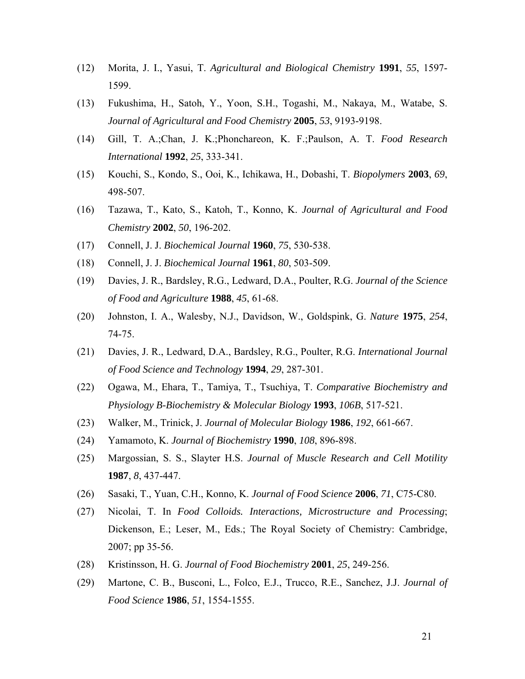- (12) Morita, J. I., Yasui, T. *Agricultural and Biological Chemistry* **1991**, *55*, 1597- 1599.
- (13) Fukushima, H., Satoh, Y., Yoon, S.H., Togashi, M., Nakaya, M., Watabe, S. *Journal of Agricultural and Food Chemistry* **2005**, *53*, 9193-9198.
- (14) Gill, T. A.;Chan, J. K.;Phonchareon, K. F.;Paulson, A. T. *Food Research International* **1992**, *25*, 333-341.
- (15) Kouchi, S., Kondo, S., Ooi, K., Ichikawa, H., Dobashi, T. *Biopolymers* **2003**, *69*, 498-507.
- (16) Tazawa, T., Kato, S., Katoh, T., Konno, K. *Journal of Agricultural and Food Chemistry* **2002**, *50*, 196-202.
- (17) Connell, J. J. *Biochemical Journal* **1960**, *75*, 530-538.
- (18) Connell, J. J. *Biochemical Journal* **1961**, *80*, 503-509.
- (19) Davies, J. R., Bardsley, R.G., Ledward, D.A., Poulter, R.G. *Journal of the Science of Food and Agriculture* **1988**, *45*, 61-68.
- (20) Johnston, I. A., Walesby, N.J., Davidson, W., Goldspink, G. *Nature* **1975**, *254*, 74-75.
- (21) Davies, J. R., Ledward, D.A., Bardsley, R.G., Poulter, R.G. *International Journal of Food Science and Technology* **1994**, *29*, 287-301.
- (22) Ogawa, M., Ehara, T., Tamiya, T., Tsuchiya, T. *Comparative Biochemistry and Physiology B-Biochemistry & Molecular Biology* **1993**, *106B*, 517-521.
- (23) Walker, M., Trinick, J. *Journal of Molecular Biology* **1986**, *192*, 661-667.
- (24) Yamamoto, K. *Journal of Biochemistry* **1990**, *108*, 896-898.
- (25) Margossian, S. S., Slayter H.S. *Journal of Muscle Research and Cell Motility* **1987**, *8*, 437-447.
- (26) Sasaki, T., Yuan, C.H., Konno, K. *Journal of Food Science* **2006**, *71*, C75-C80.
- (27) Nicolai, T. In *Food Colloids. Interactions, Microstructure and Processing*; Dickenson, E.; Leser, M., Eds.; The Royal Society of Chemistry: Cambridge, 2007; pp 35-56.
- (28) Kristinsson, H. G. *Journal of Food Biochemistry* **2001**, *25*, 249-256.
- (29) Martone, C. B., Busconi, L., Folco, E.J., Trucco, R.E., Sanchez, J.J. *Journal of Food Science* **1986**, *51*, 1554-1555.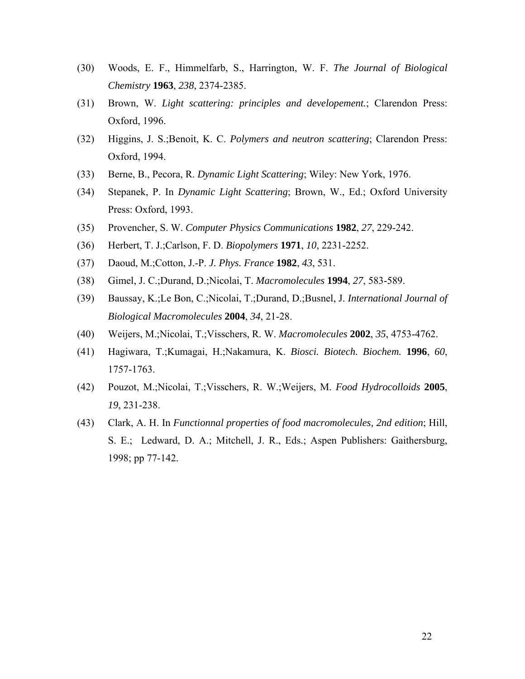- (30) Woods, E. F., Himmelfarb, S., Harrington, W. F. *The Journal of Biological Chemistry* **1963**, *238*, 2374-2385.
- (31) Brown, W. *Light scattering: principles and developement.*; Clarendon Press: Oxford, 1996.
- (32) Higgins, J. S.;Benoit, K. C. *Polymers and neutron scattering*; Clarendon Press: Oxford, 1994.
- (33) Berne, B., Pecora, R. *Dynamic Light Scattering*; Wiley: New York, 1976.
- (34) Stepanek, P. In *Dynamic Light Scattering*; Brown, W., Ed.; Oxford University Press: Oxford, 1993.
- (35) Provencher, S. W. *Computer Physics Communications* **1982**, *27*, 229-242.
- (36) Herbert, T. J.;Carlson, F. D. *Biopolymers* **1971**, *10*, 2231-2252.
- (37) Daoud, M.;Cotton, J.-P. *J. Phys. France* **1982**, *43*, 531.
- (38) Gimel, J. C.;Durand, D.;Nicolai, T. *Macromolecules* **1994**, *27*, 583-589.
- (39) Baussay, K.;Le Bon, C.;Nicolai, T.;Durand, D.;Busnel, J. *International Journal of Biological Macromolecules* **2004**, *34*, 21-28.
- (40) Weijers, M.;Nicolai, T.;Visschers, R. W. *Macromolecules* **2002**, *35*, 4753-4762.
- (41) Hagiwara, T.;Kumagai, H.;Nakamura, K. *Biosci. Biotech. Biochem.* **1996**, *60*, 1757-1763.
- (42) Pouzot, M.;Nicolai, T.;Visschers, R. W.;Weijers, M. *Food Hydrocolloids* **2005**, *19*, 231-238.
- (43) Clark, A. H. In *Functionnal properties of food macromolecules, 2nd edition*; Hill, S. E.; Ledward, D. A.; Mitchell, J. R., Eds.; Aspen Publishers: Gaithersburg, 1998; pp 77-142.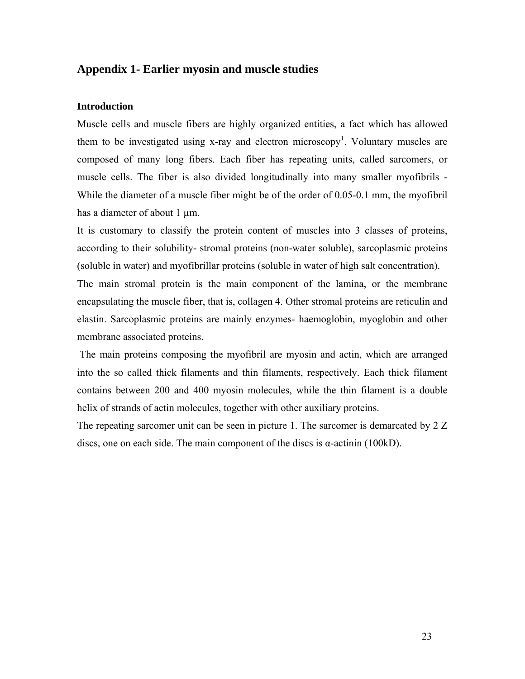## **Appendix 1- Earlier myosin and muscle studies**

## **Introduction**

Muscle cells and muscle fibers are highly organized entities, a fact which has allowed them to be investigated using x-ray and electron microscopy<sup>1</sup>. Voluntary muscles are composed of many long fibers. Each fiber has repeating units, called sarcomers, or muscle cells. The fiber is also divided longitudinally into many smaller myofibrils - While the diameter of a muscle fiber might be of the order of 0.05-0.1 mm, the myofibril has a diameter of about 1  $\mu$ m.

It is customary to classify the protein content of muscles into 3 classes of proteins, according to their solubility- stromal proteins (non-water soluble), sarcoplasmic proteins (soluble in water) and myofibrillar proteins (soluble in water of high salt concentration).

The main stromal protein is the main component of the lamina, or the membrane encapsulating the muscle fiber, that is, collagen 4. Other stromal proteins are reticulin and elastin. Sarcoplasmic proteins are mainly enzymes- haemoglobin, myoglobin and other membrane associated proteins.

 The main proteins composing the myofibril are myosin and actin, which are arranged into the so called thick filaments and thin filaments, respectively. Each thick filament contains between 200 and 400 myosin molecules, while the thin filament is a double helix of strands of actin molecules, together with other auxiliary proteins.

The repeating sarcomer unit can be seen in picture 1. The sarcomer is demarcated by 2 Z discs, one on each side. The main component of the discs is  $\alpha$ -actinin (100kD).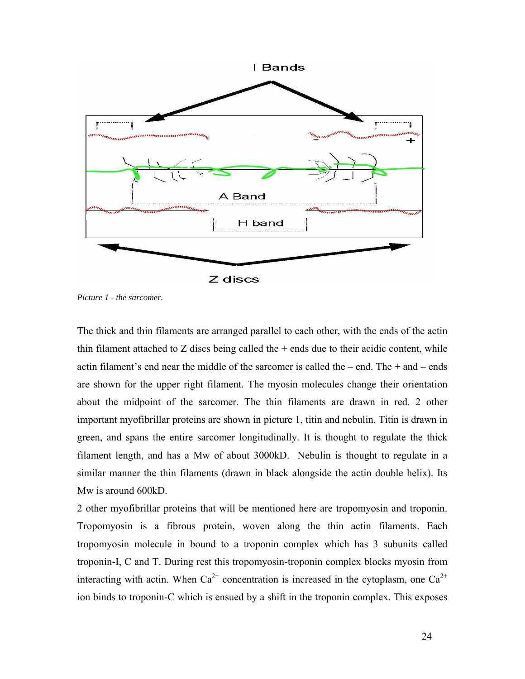

*Picture 1 - the sarcomer.* 

The thick and thin filaments are arranged parallel to each other, with the ends of the actin thin filament attached to  $Z$  discs being called the  $+$  ends due to their acidic content, while actin filament's end near the middle of the sarcomer is called the – end. The  $+$  and – ends are shown for the upper right filament. The myosin molecules change their orientation about the midpoint of the sarcomer. The thin filaments are drawn in red. 2 other important myofibrillar proteins are shown in picture 1, titin and nebulin. Titin is drawn in green, and spans the entire sarcomer longitudinally. It is thought to regulate the thick filament length, and has a Mw of about 3000kD. Nebulin is thought to regulate in a similar manner the thin filaments (drawn in black alongside the actin double helix). Its Mw is around 600kD.

2 other myofibrillar proteins that will be mentioned here are tropomyosin and troponin. Tropomyosin is a fibrous protein, woven along the thin actin filaments. Each tropomyosin molecule in bound to a troponin complex which has 3 subunits called troponin-I, C and T. During rest this tropomyosin-troponin complex blocks myosin from interacting with actin. When  $Ca^{2+}$  concentration is increased in the cytoplasm, one  $Ca^{2+}$ ion binds to troponin-C which is ensued by a shift in the troponin complex. This exposes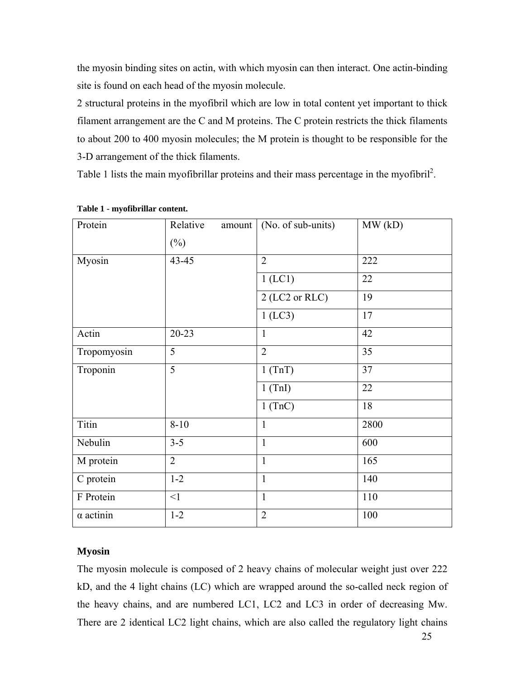the myosin binding sites on actin, with which myosin can then interact. One actin-binding site is found on each head of the myosin molecule.

2 structural proteins in the myofibril which are low in total content yet important to thick filament arrangement are the C and M proteins. The C protein restricts the thick filaments to about 200 to 400 myosin molecules; the M protein is thought to be responsible for the 3-D arrangement of the thick filaments.

Table 1 lists the main myofibrillar proteins and their mass percentage in the myofibril<sup>2</sup>.

| Protein          | Relative<br>amount<br>$(\%)$ | (No. of sub-units) | MW(kD) |
|------------------|------------------------------|--------------------|--------|
| Myosin           | $43 - 45$                    | $\overline{2}$     | 222    |
|                  |                              | $1$ (LC1)          | 22     |
|                  |                              | 2 (LC2 or RLC)     | 19     |
|                  |                              | $1$ (LC3)          | 17     |
| Actin            | $20 - 23$                    | $\mathbf{1}$       | 42     |
| Tropomyosin      | 5                            | $\overline{2}$     | 35     |
| Troponin         | $\overline{5}$               | 1(TnT)             | 37     |
|                  |                              | $1$ (TnI)          | 22     |
|                  |                              | $1$ (TnC)          | 18     |
| <b>Titin</b>     | $8 - 10$                     | $\mathbf{1}$       | 2800   |
| Nebulin          | $3 - 5$                      | $\mathbf{1}$       | 600    |
| M protein        | $\overline{2}$               | $\mathbf{1}$       | 165    |
| C protein        | $1 - 2$                      | $\mathbf{1}$       | 140    |
| F Protein        | $\leq$ 1                     | $\mathbf{1}$       | 110    |
| $\alpha$ actinin | $1 - 2$                      | $\overline{2}$     | 100    |

## **Table 1 - myofibrillar content.**

## **Myosin**

The myosin molecule is composed of 2 heavy chains of molecular weight just over 222 kD, and the 4 light chains (LC) which are wrapped around the so-called neck region of the heavy chains, and are numbered LC1, LC2 and LC3 in order of decreasing Mw. There are 2 identical LC2 light chains, which are also called the regulatory light chains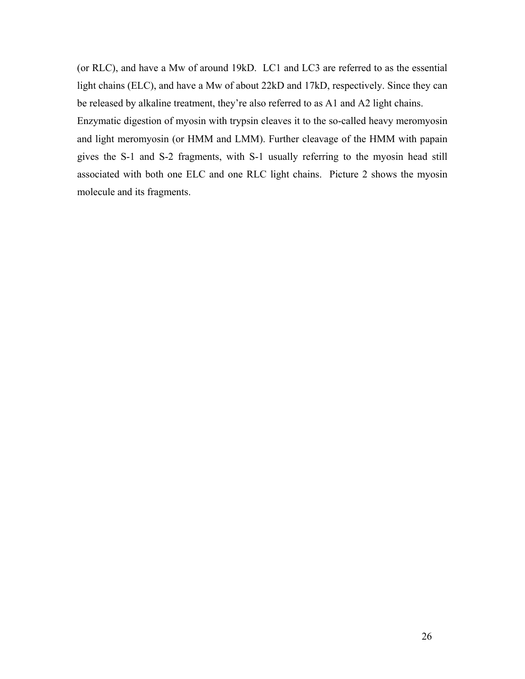(or RLC), and have a Mw of around 19kD. LC1 and LC3 are referred to as the essential light chains (ELC), and have a Mw of about 22kD and 17kD, respectively. Since they can be released by alkaline treatment, they're also referred to as A1 and A2 light chains.

Enzymatic digestion of myosin with trypsin cleaves it to the so-called heavy meromyosin and light meromyosin (or HMM and LMM). Further cleavage of the HMM with papain gives the S-1 and S-2 fragments, with S-1 usually referring to the myosin head still associated with both one ELC and one RLC light chains. Picture 2 shows the myosin molecule and its fragments.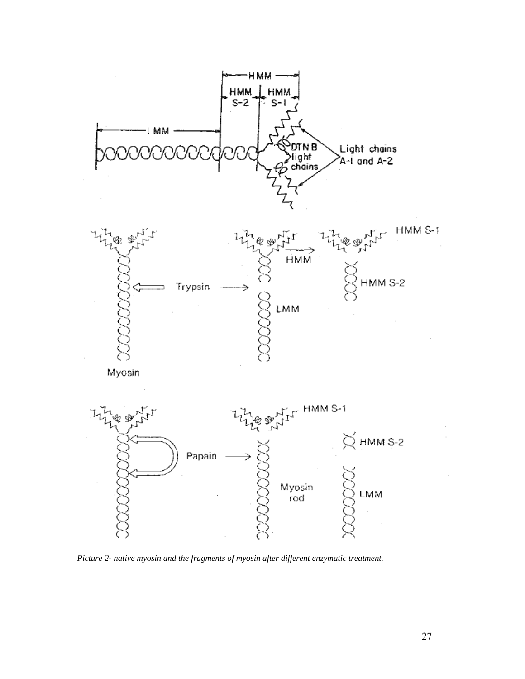

*Picture 2- native myosin and the fragments of myosin after different enzymatic treatment.*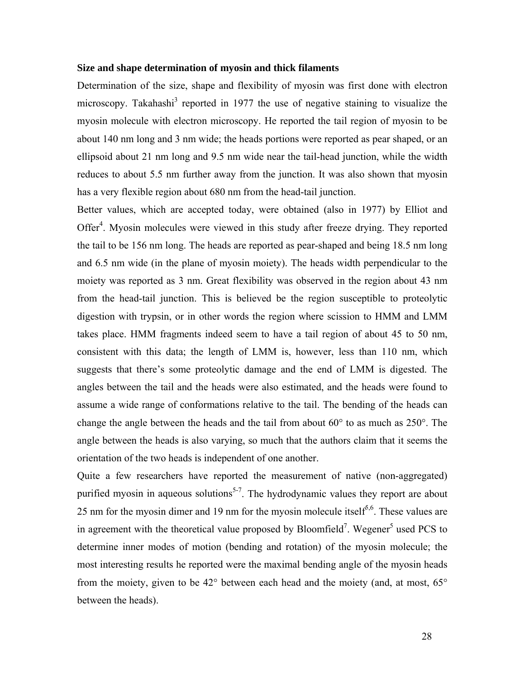### **Size and shape determination of myosin and thick filaments**

Determination of the size, shape and flexibility of myosin was first done with electron microscopy. Takahashi<sup>3</sup> reported in 1977 the use of negative staining to visualize the myosin molecule with electron microscopy. He reported the tail region of myosin to be about 140 nm long and 3 nm wide; the heads portions were reported as pear shaped, or an ellipsoid about 21 nm long and 9.5 nm wide near the tail-head junction, while the width reduces to about 5.5 nm further away from the junction. It was also shown that myosin has a very flexible region about 680 nm from the head-tail junction.

Better values, which are accepted today, were obtained (also in 1977) by Elliot and Offer<sup>4</sup>. Myosin molecules were viewed in this study after freeze drying. They reported the tail to be 156 nm long. The heads are reported as pear-shaped and being 18.5 nm long and 6.5 nm wide (in the plane of myosin moiety). The heads width perpendicular to the moiety was reported as 3 nm. Great flexibility was observed in the region about 43 nm from the head-tail junction. This is believed be the region susceptible to proteolytic digestion with trypsin, or in other words the region where scission to HMM and LMM takes place. HMM fragments indeed seem to have a tail region of about 45 to 50 nm, consistent with this data; the length of LMM is, however, less than 110 nm, which suggests that there's some proteolytic damage and the end of LMM is digested. The angles between the tail and the heads were also estimated, and the heads were found to assume a wide range of conformations relative to the tail. The bending of the heads can change the angle between the heads and the tail from about 60° to as much as 250°. The angle between the heads is also varying, so much that the authors claim that it seems the orientation of the two heads is independent of one another.

Quite a few researchers have reported the measurement of native (non-aggregated) purified myosin in aqueous solutions<sup>5-7</sup>. The hydrodynamic values they report are about 25 nm for the myosin dimer and 19 nm for the myosin molecule itself<sup>5,6</sup>. These values are in agreement with the theoretical value proposed by Bloomfield<sup>7</sup>. Wegener<sup>5</sup> used PCS to determine inner modes of motion (bending and rotation) of the myosin molecule; the most interesting results he reported were the maximal bending angle of the myosin heads from the moiety, given to be 42° between each head and the moiety (and, at most, 65° between the heads).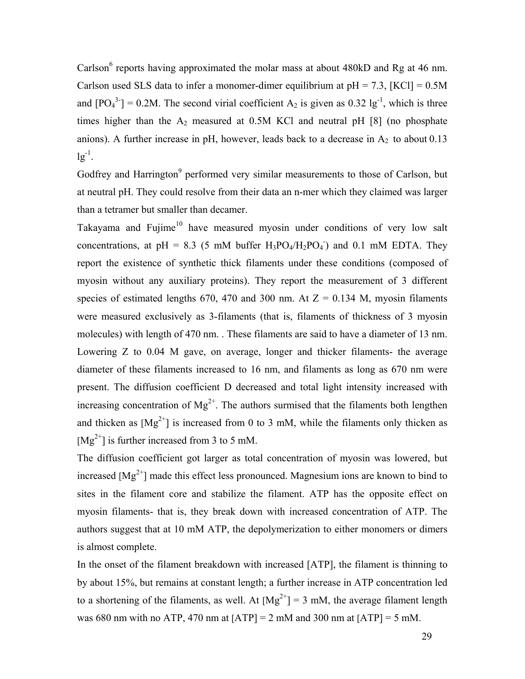Carlson<sup>6</sup> reports having approximated the molar mass at about 480kD and Rg at 46 nm. Carlson used SLS data to infer a monomer-dimer equilibrium at  $pH = 7.3$ , [KCl] = 0.5M and  $[PO_4^{3}] = 0.2M$ . The second virial coefficient A<sub>2</sub> is given as 0.32 lg<sup>-1</sup>, which is three times higher than the  $A_2$  measured at 0.5M KCl and neutral pH [8] (no phosphate anions). A further increase in pH, however, leads back to a decrease in  $A_2$  to about 0.13  $lg^{-1}$ .

Godfrey and Harrington<sup>9</sup> performed very similar measurements to those of Carlson, but at neutral pH. They could resolve from their data an n-mer which they claimed was larger than a tetramer but smaller than decamer.

Takayama and Fujime<sup>10</sup> have measured myosin under conditions of very low salt concentrations, at pH = 8.3 (5 mM buffer  $H_3PO_4/H_2PO_4$ ) and 0.1 mM EDTA. They report the existence of synthetic thick filaments under these conditions (composed of myosin without any auxiliary proteins). They report the measurement of 3 different species of estimated lengths 670, 470 and 300 nm. At  $Z = 0.134$  M, myosin filaments were measured exclusively as 3-filaments (that is, filaments of thickness of 3 myosin molecules) with length of 470 nm. . These filaments are said to have a diameter of 13 nm. Lowering Z to 0.04 M gave, on average, longer and thicker filaments- the average diameter of these filaments increased to 16 nm, and filaments as long as 670 nm were present. The diffusion coefficient D decreased and total light intensity increased with increasing concentration of  $Mg^{2+}$ . The authors surmised that the filaments both lengthen and thicken as  $[Mg^{2+}]$  is increased from 0 to 3 mM, while the filaments only thicken as  $[Mg^{2+}]$  is further increased from 3 to 5 mM.

The diffusion coefficient got larger as total concentration of myosin was lowered, but increased  $[Mg^{2+}]$  made this effect less pronounced. Magnesium ions are known to bind to sites in the filament core and stabilize the filament. ATP has the opposite effect on myosin filaments- that is, they break down with increased concentration of ATP. The authors suggest that at 10 mM ATP, the depolymerization to either monomers or dimers is almost complete.

In the onset of the filament breakdown with increased [ATP], the filament is thinning to by about 15%, but remains at constant length; a further increase in ATP concentration led to a shortening of the filaments, as well. At  $[Mg^{2+}] = 3$  mM, the average filament length was 680 nm with no ATP, 470 nm at  $[ATP] = 2$  mM and 300 nm at  $[ATP] = 5$  mM.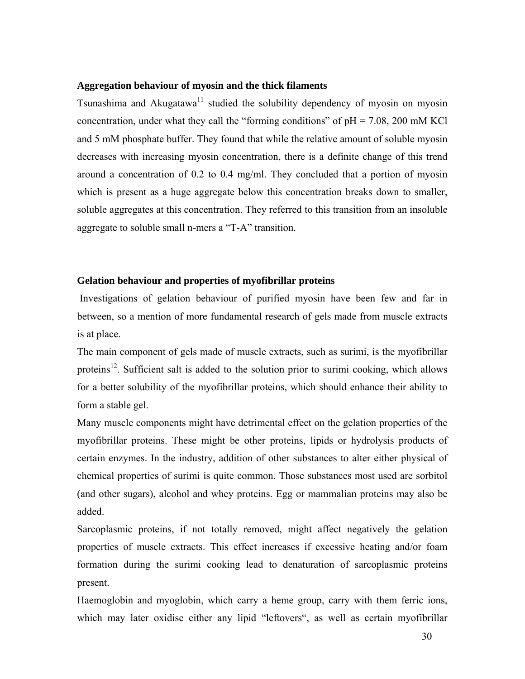## **Aggregation behaviour of myosin and the thick filaments**

Tsunashima and Akugatawa<sup>11</sup> studied the solubility dependency of myosin on myosin concentration, under what they call the "forming conditions" of  $pH = 7.08$ , 200 mM KCl and 5 mM phosphate buffer. They found that while the relative amount of soluble myosin decreases with increasing myosin concentration, there is a definite change of this trend around a concentration of 0.2 to 0.4 mg/ml. They concluded that a portion of myosin which is present as a huge aggregate below this concentration breaks down to smaller, soluble aggregates at this concentration. They referred to this transition from an insoluble aggregate to soluble small n-mers a "T-A" transition.

## **Gelation behaviour and properties of myofibrillar proteins**

 Investigations of gelation behaviour of purified myosin have been few and far in between, so a mention of more fundamental research of gels made from muscle extracts is at place.

The main component of gels made of muscle extracts, such as surimi, is the myofibrillar proteins<sup>12</sup>. Sufficient salt is added to the solution prior to surimi cooking, which allows for a better solubility of the myofibrillar proteins, which should enhance their ability to form a stable gel.

Many muscle components might have detrimental effect on the gelation properties of the myofibrillar proteins. These might be other proteins, lipids or hydrolysis products of certain enzymes. In the industry, addition of other substances to alter either physical of chemical properties of surimi is quite common. Those substances most used are sorbitol (and other sugars), alcohol and whey proteins. Egg or mammalian proteins may also be added.

Sarcoplasmic proteins, if not totally removed, might affect negatively the gelation properties of muscle extracts. This effect increases if excessive heating and/or foam formation during the surimi cooking lead to denaturation of sarcoplasmic proteins present.

Haemoglobin and myoglobin, which carry a heme group, carry with them ferric ions, which may later oxidise either any lipid "leftovers", as well as certain myofibrillar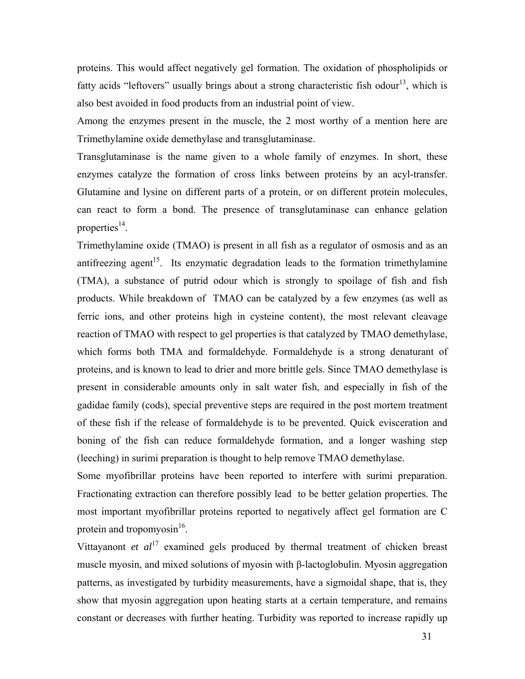proteins. This would affect negatively gel formation. The oxidation of phospholipids or fatty acids "leftovers" usually brings about a strong characteristic fish odour<sup>13</sup>, which is also best avoided in food products from an industrial point of view.

Among the enzymes present in the muscle, the 2 most worthy of a mention here are Trimethylamine oxide demethylase and transglutaminase.

Transglutaminase is the name given to a whole family of enzymes. In short, these enzymes catalyze the formation of cross links between proteins by an acyl-transfer. Glutamine and lysine on different parts of a protein, or on different protein molecules, can react to form a bond. The presence of transglutaminase can enhance gelation properties $^{14}$ .

Trimethylamine oxide (TMAO) is present in all fish as a regulator of osmosis and as an antifreezing agent<sup>15</sup>. Its enzymatic degradation leads to the formation trimethylamine (TMA), a substance of putrid odour which is strongly to spoilage of fish and fish products. While breakdown of TMAO can be catalyzed by a few enzymes (as well as ferric ions, and other proteins high in cysteine content), the most relevant cleavage reaction of TMAO with respect to gel properties is that catalyzed by TMAO demethylase, which forms both TMA and formaldehyde. Formaldehyde is a strong denaturant of proteins, and is known to lead to drier and more brittle gels. Since TMAO demethylase is present in considerable amounts only in salt water fish, and especially in fish of the gadidae family (cods), special preventive steps are required in the post mortem treatment of these fish if the release of formaldehyde is to be prevented. Quick evisceration and boning of the fish can reduce formaldehyde formation, and a longer washing step (leeching) in surimi preparation is thought to help remove TMAO demethylase.

Some myofibrillar proteins have been reported to interfere with surimi preparation. Fractionating extraction can therefore possibly lead to be better gelation properties. The most important myofibrillar proteins reported to negatively affect gel formation are C protein and tropomyosin<sup>16</sup>.

Vittayanont *et al*<sup>17</sup> examined gels produced by thermal treatment of chicken breast muscle myosin, and mixed solutions of myosin with β-lactoglobulin. Myosin aggregation patterns, as investigated by turbidity measurements, have a sigmoidal shape, that is, they show that myosin aggregation upon heating starts at a certain temperature, and remains constant or decreases with further heating. Turbidity was reported to increase rapidly up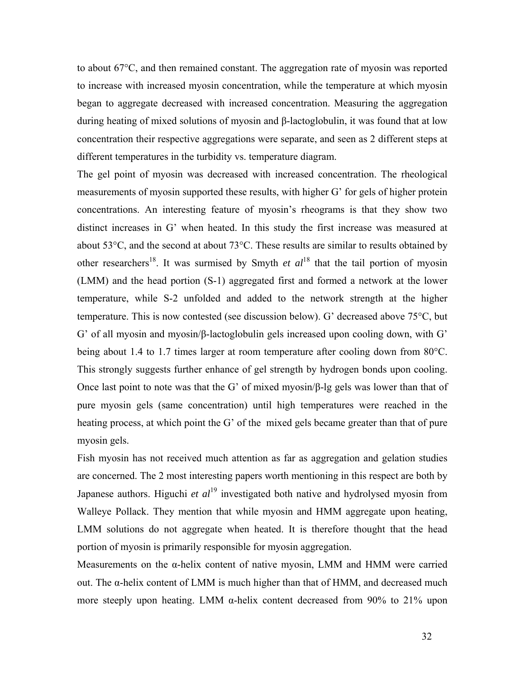to about 67°C, and then remained constant. The aggregation rate of myosin was reported to increase with increased myosin concentration, while the temperature at which myosin began to aggregate decreased with increased concentration. Measuring the aggregation during heating of mixed solutions of myosin and β-lactoglobulin, it was found that at low concentration their respective aggregations were separate, and seen as 2 different steps at different temperatures in the turbidity vs. temperature diagram.

The gel point of myosin was decreased with increased concentration. The rheological measurements of myosin supported these results, with higher G' for gels of higher protein concentrations. An interesting feature of myosin's rheograms is that they show two distinct increases in G' when heated. In this study the first increase was measured at about 53°C, and the second at about 73°C. These results are similar to results obtained by other researchers<sup>18</sup>. It was surmised by Smyth *et al*<sup>18</sup> that the tail portion of myosin (LMM) and the head portion (S-1) aggregated first and formed a network at the lower temperature, while S-2 unfolded and added to the network strength at the higher temperature. This is now contested (see discussion below). G' decreased above 75°C, but G' of all myosin and myosin/β-lactoglobulin gels increased upon cooling down, with G' being about 1.4 to 1.7 times larger at room temperature after cooling down from 80°C. This strongly suggests further enhance of gel strength by hydrogen bonds upon cooling. Once last point to note was that the G' of mixed myosin/β-lg gels was lower than that of pure myosin gels (same concentration) until high temperatures were reached in the heating process, at which point the G' of the mixed gels became greater than that of pure myosin gels.

Fish myosin has not received much attention as far as aggregation and gelation studies are concerned. The 2 most interesting papers worth mentioning in this respect are both by Japanese authors. Higuchi *et al*<sup>19</sup> investigated both native and hydrolysed myosin from Walleye Pollack. They mention that while myosin and HMM aggregate upon heating, LMM solutions do not aggregate when heated. It is therefore thought that the head portion of myosin is primarily responsible for myosin aggregation.

Measurements on the α-helix content of native myosin, LMM and HMM were carried out. The α-helix content of LMM is much higher than that of HMM, and decreased much more steeply upon heating. LMM  $\alpha$ -helix content decreased from 90% to 21% upon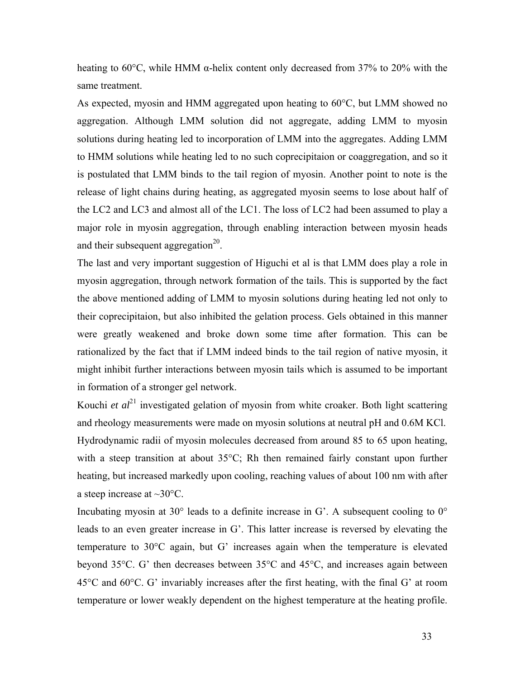heating to 60 $\degree$ C, while HMM  $\alpha$ -helix content only decreased from 37% to 20% with the same treatment.

As expected, myosin and HMM aggregated upon heating to 60°C, but LMM showed no aggregation. Although LMM solution did not aggregate, adding LMM to myosin solutions during heating led to incorporation of LMM into the aggregates. Adding LMM to HMM solutions while heating led to no such coprecipitaion or coaggregation, and so it is postulated that LMM binds to the tail region of myosin. Another point to note is the release of light chains during heating, as aggregated myosin seems to lose about half of the LC2 and LC3 and almost all of the LC1. The loss of LC2 had been assumed to play a major role in myosin aggregation, through enabling interaction between myosin heads and their subsequent aggregation<sup>20</sup>.

The last and very important suggestion of Higuchi et al is that LMM does play a role in myosin aggregation, through network formation of the tails. This is supported by the fact the above mentioned adding of LMM to myosin solutions during heating led not only to their coprecipitaion, but also inhibited the gelation process. Gels obtained in this manner were greatly weakened and broke down some time after formation. This can be rationalized by the fact that if LMM indeed binds to the tail region of native myosin, it might inhibit further interactions between myosin tails which is assumed to be important in formation of a stronger gel network.

Kouchi *et al*<sup>21</sup> investigated gelation of myosin from white croaker. Both light scattering and rheology measurements were made on myosin solutions at neutral pH and 0.6M KCl. Hydrodynamic radii of myosin molecules decreased from around 85 to 65 upon heating, with a steep transition at about 35°C; Rh then remained fairly constant upon further heating, but increased markedly upon cooling, reaching values of about 100 nm with after a steep increase at  $\sim$ 30 $\degree$ C.

Incubating myosin at 30 $^{\circ}$  leads to a definite increase in G'. A subsequent cooling to  $0^{\circ}$ leads to an even greater increase in G'. This latter increase is reversed by elevating the temperature to 30°C again, but G' increases again when the temperature is elevated beyond 35°C. G' then decreases between 35°C and 45°C, and increases again between 45°C and 60°C. G' invariably increases after the first heating, with the final G' at room temperature or lower weakly dependent on the highest temperature at the heating profile.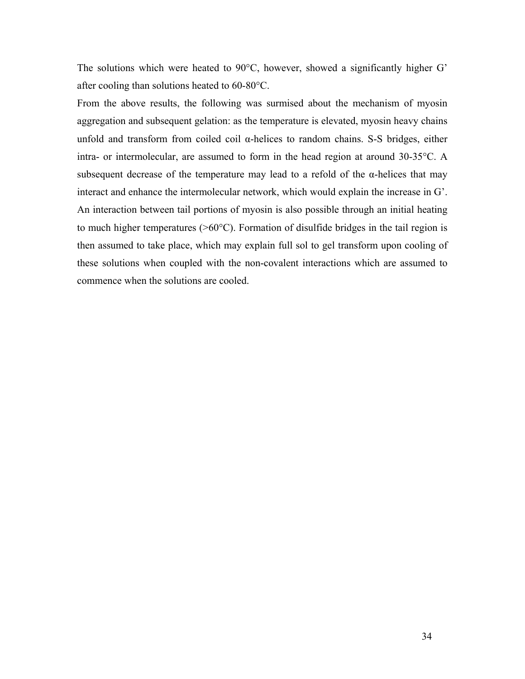The solutions which were heated to 90°C, however, showed a significantly higher G' after cooling than solutions heated to 60-80°C.

From the above results, the following was surmised about the mechanism of myosin aggregation and subsequent gelation: as the temperature is elevated, myosin heavy chains unfold and transform from coiled coil α-helices to random chains. S-S bridges, either intra- or intermolecular, are assumed to form in the head region at around 30-35°C. A subsequent decrease of the temperature may lead to a refold of the  $\alpha$ -helices that may interact and enhance the intermolecular network, which would explain the increase in G'. An interaction between tail portions of myosin is also possible through an initial heating to much higher temperatures  $(>60^{\circ}C)$ . Formation of disulfide bridges in the tail region is then assumed to take place, which may explain full sol to gel transform upon cooling of these solutions when coupled with the non-covalent interactions which are assumed to commence when the solutions are cooled.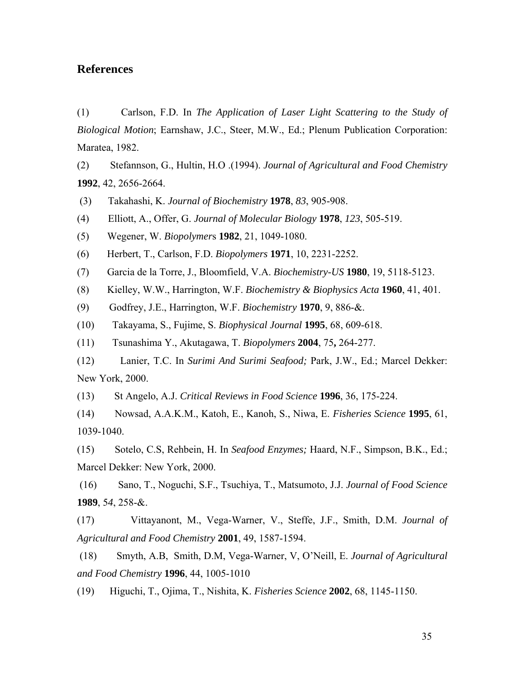## **References**

(1) Carlson, F.D. In *The Application of Laser Light Scattering to the Study of Biological Motion*; Earnshaw, J.C., Steer, M.W., Ed.; Plenum Publication Corporation: Maratea, 1982.

(2) Stefannson, G., Hultin, H.O .(1994). *Journal of Agricultural and Food Chemistry* **1992**, 42, 2656-2664.

(3) Takahashi, K. *Journal of Biochemistry* **1978**, *83*, 905-908.

(4) Elliott, A., Offer, G. *Journal of Molecular Biology* **1978**, *123*, 505-519.

(5) Wegener, W. *Biopolymer*s **1982**, 21, 1049-1080.

(6) Herbert, T., Carlson, F.D. *Biopolymers* **1971**, 10, 2231-2252.

(7) Garcia de la Torre, J., Bloomfield, V.A. *Biochemistry-US* **1980**, 19, 5118-5123.

(8) Kielley, W.W., Harrington, W.F. *Biochemistry & Biophysics Acta* **1960**, 41, 401.

(9) Godfrey, J.E., Harrington, W.F. *Biochemistry* **1970**, 9, 886-&.

(10) Takayama, S., Fujime, S. *Biophysical Journal* **1995**, 68, 609-618.

(11) Tsunashima Y., Akutagawa, T. *Biopolymers* **2004**, 75**,** 264-277.

(12) Lanier, T.C. In *Surimi And Surimi Seafood;* Park, J.W., Ed.; Marcel Dekker: New York, 2000.

(13) St Angelo, A.J. *Critical Reviews in Food Science* **1996**, 36, 175-224.

(14) Nowsad, A.A.K.M., Katoh, E., Kanoh, S., Niwa, E. *Fisheries Science* **1995**, 61, 1039-1040.

(15) Sotelo, C.S, Rehbein, H. In *Seafood Enzymes;* Haard, N.F., Simpson, B.K., Ed.; Marcel Dekker: New York, 2000.

 (16) Sano, T., Noguchi, S.F., Tsuchiya, T., Matsumoto, J.J. *Journal of Food Science* **1989**, 5*4*, 258-&.

(17) Vittayanont, M., Vega-Warner, V., Steffe, J.F., Smith, D.M. *Journal of Agricultural and Food Chemistry* **2001**, 49, 1587-1594.

 (18) Smyth, A.B, Smith, D.M, Vega-Warner, V, O'Neill, E. *Journal of Agricultural and Food Chemistry* **1996**, 44, 1005-1010

(19) Higuchi, T., Ojima, T., Nishita, K. *Fisheries Science* **2002**, 68, 1145-1150.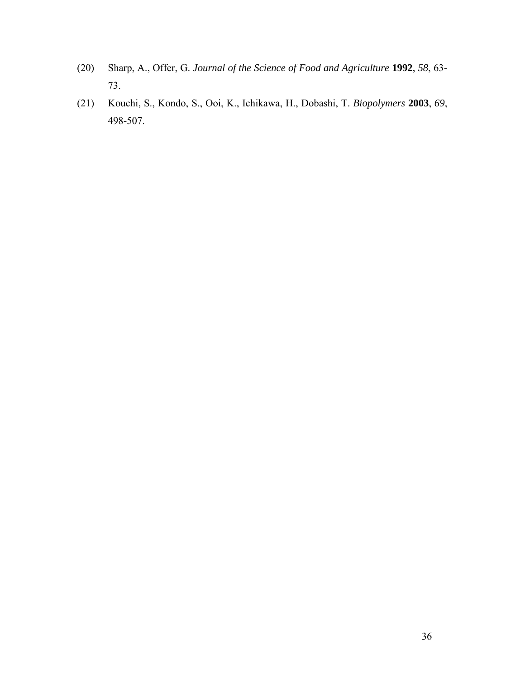- (20) Sharp, A., Offer, G. *Journal of the Science of Food and Agriculture* **1992**, *58*, 63- 73.
- (21) Kouchi, S., Kondo, S., Ooi, K., Ichikawa, H., Dobashi, T. *Biopolymers* **2003**, *69*, 498-507.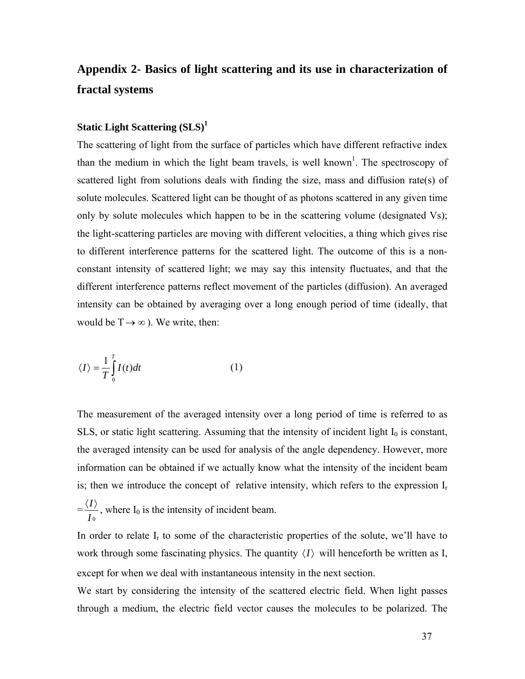## **Appendix 2- Basics of light scattering and its use in characterization of fractal systems**

## **Static Light Scattering (SLS)<sup>1</sup>**

The scattering of light from the surface of particles which have different refractive index than the medium in which the light beam travels, is well known<sup>1</sup>. The spectroscopy of scattered light from solutions deals with finding the size, mass and diffusion rate(s) of solute molecules. Scattered light can be thought of as photons scattered in any given time only by solute molecules which happen to be in the scattering volume (designated Vs); the light-scattering particles are moving with different velocities, a thing which gives rise to different interference patterns for the scattered light. The outcome of this is a nonconstant intensity of scattered light; we may say this intensity fluctuates, and that the different interference patterns reflect movement of the particles (diffusion). An averaged intensity can be obtained by averaging over a long enough period of time (ideally, that would be  $T \rightarrow \infty$ ). We write, then:

$$
\langle I \rangle = \frac{1}{T} \int_{0}^{T} I(t) dt
$$
 (1)

The measurement of the averaged intensity over a long period of time is referred to as SLS, or static light scattering. Assuming that the intensity of incident light  $I_0$  is constant, the averaged intensity can be used for analysis of the angle dependency. However, more information can be obtained if we actually know what the intensity of the incident beam is; then we introduce the concept of relative intensity, which refers to the expression  $I_r$ 

$$
=\frac{\langle I \rangle}{I_0}
$$
, where  $I_0$  is the intensity of incident beam.

In order to relate  $I_r$  to some of the characteristic properties of the solute, we'll have to work through some fascinating physics. The quantity  $\langle I \rangle$  will henceforth be written as I, except for when we deal with instantaneous intensity in the next section.

We start by considering the intensity of the scattered electric field. When light passes through a medium, the electric field vector causes the molecules to be polarized. The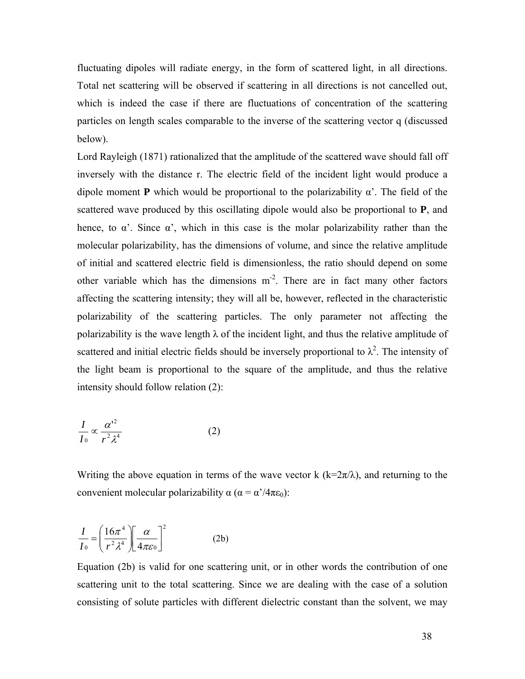fluctuating dipoles will radiate energy, in the form of scattered light, in all directions. Total net scattering will be observed if scattering in all directions is not cancelled out, which is indeed the case if there are fluctuations of concentration of the scattering particles on length scales comparable to the inverse of the scattering vector q (discussed below).

Lord Rayleigh (1871) rationalized that the amplitude of the scattered wave should fall off inversely with the distance r. The electric field of the incident light would produce a dipole moment **P** which would be proportional to the polarizability  $\alpha'$ . The field of the scattered wave produced by this oscillating dipole would also be proportional to **P**, and hence, to  $\alpha'$ . Since  $\alpha'$ , which in this case is the molar polarizability rather than the molecular polarizability, has the dimensions of volume, and since the relative amplitude of initial and scattered electric field is dimensionless, the ratio should depend on some other variable which has the dimensions  $m<sup>2</sup>$ . There are in fact many other factors affecting the scattering intensity; they will all be, however, reflected in the characteristic polarizability of the scattering particles. The only parameter not affecting the polarizability is the wave length  $\lambda$  of the incident light, and thus the relative amplitude of scattered and initial electric fields should be inversely proportional to  $\lambda^2$ . The intensity of the light beam is proportional to the square of the amplitude, and thus the relative intensity should follow relation (2):

$$
\frac{I}{I_0} \propto \frac{{\alpha'}^2}{r^2 \lambda^4} \tag{2}
$$

Writing the above equation in terms of the wave vector k  $(k=2\pi/\lambda)$ , and returning to the convenient molecular polarizability  $\alpha$  ( $\alpha = \alpha'/4\pi\epsilon_0$ ):

$$
\frac{I}{I_0} = \left(\frac{16\pi^4}{r^2\lambda^4}\right) \left[\frac{\alpha}{4\pi\varepsilon_0}\right]^2
$$
 (2b)

Equation (2b) is valid for one scattering unit, or in other words the contribution of one scattering unit to the total scattering. Since we are dealing with the case of a solution consisting of solute particles with different dielectric constant than the solvent, we may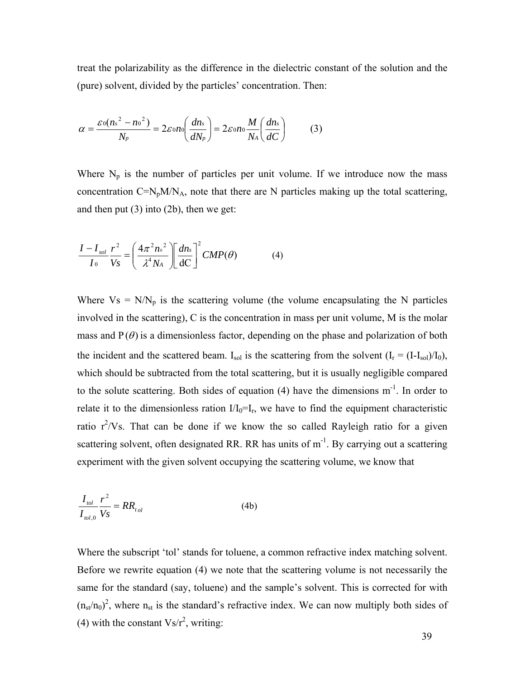treat the polarizability as the difference in the dielectric constant of the solution and the (pure) solvent, divided by the particles' concentration. Then:

$$
\alpha = \frac{\varepsilon_0 (n_s^2 - n_0^2)}{N_p} = 2\varepsilon_0 n_0 \left(\frac{dn_s}{dN_p}\right) = 2\varepsilon_0 n_0 \frac{M}{N_A} \left(\frac{dn_s}{dC}\right) \tag{3}
$$

Where  $N_p$  is the number of particles per unit volume. If we introduce now the mass concentration  $C=N_pM/N_A$ , note that there are N particles making up the total scattering, and then put (3) into (2b), then we get:

$$
\frac{I - I_{sol}}{I_0} \frac{r^2}{V_S} = \left(\frac{4\pi^2 n_0^2}{\lambda^4 N_A}\right) \left[\frac{dn_s}{dC}\right]^2 CMP(\theta)
$$
 (4)

Where  $Vs = N/N_p$  is the scattering volume (the volume encapsulating the N particles involved in the scattering), C is the concentration in mass per unit volume, M is the molar mass and  $P(\theta)$  is a dimensionless factor, depending on the phase and polarization of both the incident and the scattered beam.  $I_{sol}$  is the scattering from the solvent  $(I_r = (I-I_{sol})/I_0)$ , which should be subtracted from the total scattering, but it is usually negligible compared to the solute scattering. Both sides of equation  $(4)$  have the dimensions  $m^{-1}$ . In order to relate it to the dimensionless ration  $I/I_0=I_r$ , we have to find the equipment characteristic ratio  $r^2/Vs$ . That can be done if we know the so called Rayleigh ratio for a given scattering solvent, often designated RR. RR has units of m<sup>-1</sup>. By carrying out a scattering experiment with the given solvent occupying the scattering volume, we know that

$$
\frac{I_{tol}}{I_{tol,0}} \frac{r^2}{Vs} = RR_{tol}
$$
 (4b)

Where the subscript 'tol' stands for toluene, a common refractive index matching solvent. Before we rewrite equation (4) we note that the scattering volume is not necessarily the same for the standard (say, toluene) and the sample's solvent. This is corrected for with  $(n_{st}/n_0)^2$ , where  $n_{st}$  is the standard's refractive index. We can now multiply both sides of (4) with the constant  $Vs/r^2$ , writing: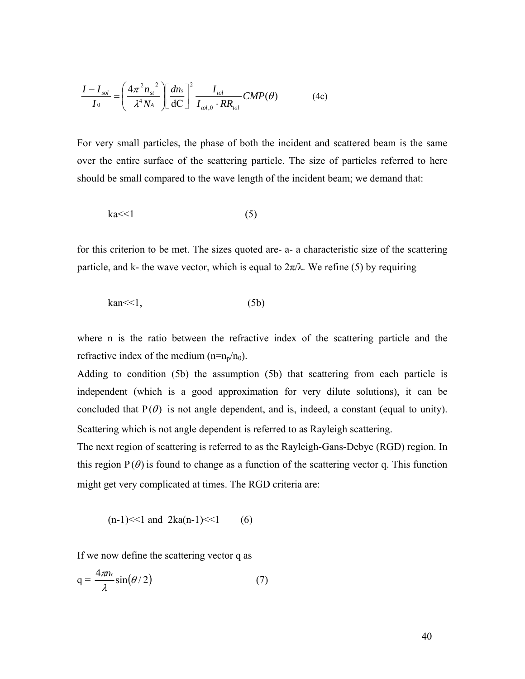$$
\frac{I - I_{sol}}{I_0} = \left(\frac{4\pi^2 n_{st}^2}{\lambda^4 N_A}\right) \left[\frac{dn_s}{dC}\right]^2 \frac{I_{tol}}{I_{tol,0} \cdot RR_{tol}}\text{CMP}(\theta) \tag{4c}
$$

For very small particles, the phase of both the incident and scattered beam is the same over the entire surface of the scattering particle. The size of particles referred to here should be small compared to the wave length of the incident beam; we demand that:

$$
ka<<1
$$
 (5)

for this criterion to be met. The sizes quoted are- a- a characteristic size of the scattering particle, and k- the wave vector, which is equal to  $2\pi/\lambda$ . We refine (5) by requiring

$$
kan << 1,\tag{5b}
$$

where n is the ratio between the refractive index of the scattering particle and the refractive index of the medium  $(n=n_p/n_0)$ .

Adding to condition (5b) the assumption (5b) that scattering from each particle is independent (which is a good approximation for very dilute solutions), it can be concluded that  $P(\theta)$  is not angle dependent, and is, indeed, a constant (equal to unity). Scattering which is not angle dependent is referred to as Rayleigh scattering.

The next region of scattering is referred to as the Rayleigh-Gans-Debye (RGD) region. In this region  $P(\theta)$  is found to change as a function of the scattering vector q. This function might get very complicated at times. The RGD criteria are:

 $(n-1) \leq 1$  and  $2ka(n-1) \leq 1$  (6)

If we now define the scattering vector q as

$$
q = \frac{4\pi n_0}{\lambda} \sin(\theta/2) \tag{7}
$$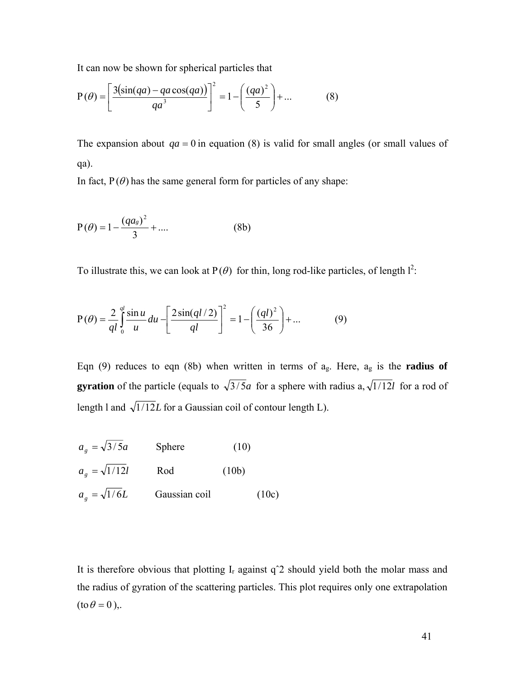It can now be shown for spherical particles that

$$
P(\theta) = \left[\frac{3(\sin(qa) - qa\cos(qa))}{qa^3}\right]^2 = 1 - \left(\frac{(qa)^2}{5}\right) + \dots
$$
 (8)

The expansion about  $qa = 0$  in equation (8) is valid for small angles (or small values of qa).

In fact,  $P(\theta)$  has the same general form for particles of any shape:

$$
P(\theta) = 1 - \frac{(qa_s)^2}{3} + \dots
$$
 (8b)

To illustrate this, we can look at  $P(\theta)$  for thin, long rod-like particles, of length  $l^2$ :

$$
P(\theta) = \frac{2}{ql} \int_0^{ql} \frac{\sin u}{u} du - \left[ \frac{2\sin(ql/2)}{ql} \right]^2 = 1 - \left( \frac{(ql)^2}{36} \right) + \dots
$$
 (9)

Eqn (9) reduces to eqn (8b) when written in terms of ag. Here, ag is the **radius of gyration** of the particle (equals to  $\sqrt{3/5}a$  for a sphere with radius a,  $\sqrt{1/12}l$  for a rod of length 1 and  $\sqrt{1/12}L$  for a Gaussian coil of contour length L).

$$
a_g = \sqrt{3/5}a
$$
 Sphere (10)  

$$
a_g = \sqrt{1/12}l
$$
 Rod (10b)  

$$
a_g = \sqrt{1/6}L
$$
Gaussian coil (10c)

It is therefore obvious that plotting  $I_r$  against  $q^2$  should yield both the molar mass and the radius of gyration of the scattering particles. This plot requires only one extrapolation  $(\text{to } \theta = 0),$ .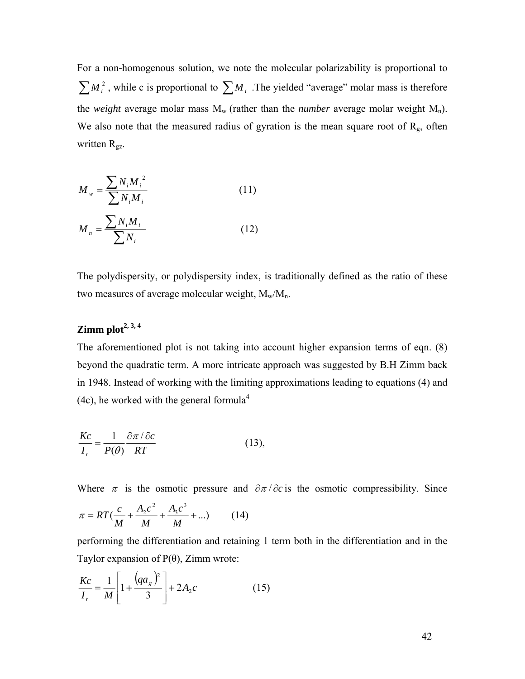For a non-homogenous solution, we note the molecular polarizability is proportional to  $\sum M_i^2$ , while c is proportional to  $\sum M_i$ . The yielded "average" molar mass is therefore the *weight* average molar mass  $M_w$  (rather than the *number* average molar weight  $M_n$ ). We also note that the measured radius of gyration is the mean square root of  $R_g$ , often written R<sub>gz</sub>.

$$
M_{w} = \frac{\sum N_{i} M_{i}^{2}}{\sum N_{i} M_{i}}
$$
 (11)

$$
M_n = \frac{\sum N_i M_i}{\sum N_i}
$$
 (12)

The polydispersity, or polydispersity index, is traditionally defined as the ratio of these two measures of average molecular weight,  $M_w/M_n$ .

## **Zimm plot2, 3, 4**

The aforementioned plot is not taking into account higher expansion terms of eqn. (8) beyond the quadratic term. A more intricate approach was suggested by B.H Zimm back in 1948. Instead of working with the limiting approximations leading to equations (4) and (4c), he worked with the general formula<sup>4</sup>

$$
\frac{Kc}{I_r} = \frac{1}{P(\theta)} \frac{\partial \pi / \partial c}{RT}
$$
 (13),

Where  $\pi$  is the osmotic pressure and  $\partial \pi / \partial c$  is the osmotic compressibility. Since

$$
\pi = RT\left(\frac{c}{M} + \frac{A_2c^2}{M} + \frac{A_3c^3}{M} + \ldots\right) \tag{14}
$$

performing the differentiation and retaining 1 term both in the differentiation and in the Taylor expansion of  $P(\theta)$ , Zimm wrote:

$$
\frac{Kc}{I_r} = \frac{1}{M} \left[ 1 + \frac{(qa_g)^2}{3} \right] + 2A_2 c \tag{15}
$$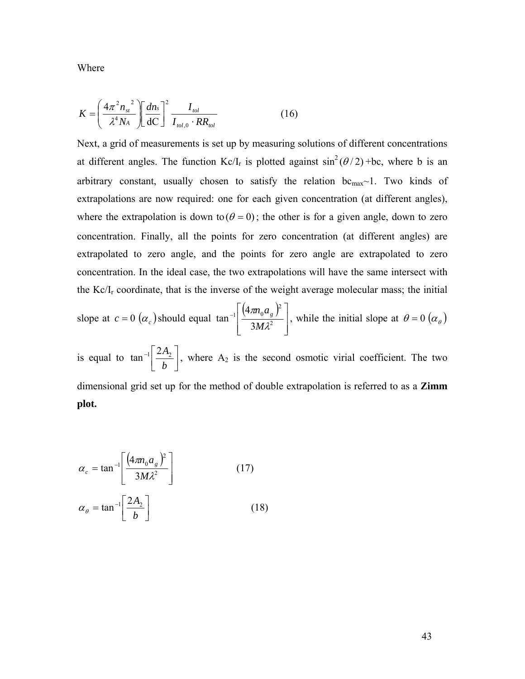Where

$$
K = \left(\frac{4\pi^2 n_{st}^2}{\lambda^4 N_A}\right) \left[\frac{dn_s}{dC}\right]^2 \frac{I_{tol}}{I_{tol,0} \cdot RR_{tol}}\tag{16}
$$

Next, a grid of measurements is set up by measuring solutions of different concentrations at different angles. The function  $Kc/I_r$  is plotted against  $sin^2(\theta/2) + bc$ , where b is an arbitrary constant, usually chosen to satisfy the relation  $bc_{max}$ ~1. Two kinds of extrapolations are now required: one for each given concentration (at different angles), where the extrapolation is down to  $(\theta = 0)$ ; the other is for a given angle, down to zero concentration. Finally, all the points for zero concentration (at different angles) are extrapolated to zero angle, and the points for zero angle are extrapolated to zero concentration. In the ideal case, the two extrapolations will have the same intersect with the  $\text{Kc}/\text{I}_r$  coordinate, that is the inverse of the weight average molecular mass; the initial

slope at 
$$
c = 0
$$
 ( $\alpha_c$ ) should equal tan<sup>-1</sup>  $\left[ \frac{(4\pi n_0 a_s)^2}{3M\lambda^2} \right]$ , while the initial slope at  $\theta = 0$  ( $\alpha_\theta$ )

is equal to  $\tan^{-1} \left[ \frac{2A_2}{b} \right]$  $-1$ *b*  $\tan^{-1} \left[ \frac{2A_2}{I} \right]$ , where A<sub>2</sub> is the second osmotic virial coefficient. The two dimensional grid set up for the method of double extrapolation is referred to as a **Zimm plot.** 

$$
\alpha_c = \tan^{-1} \left[ \frac{\left( 4\pi n_0 a_s \right)^2}{3M\lambda^2} \right]
$$
\n
$$
\alpha_\theta = \tan^{-1} \left[ \frac{2A_2}{b} \right]
$$
\n(17)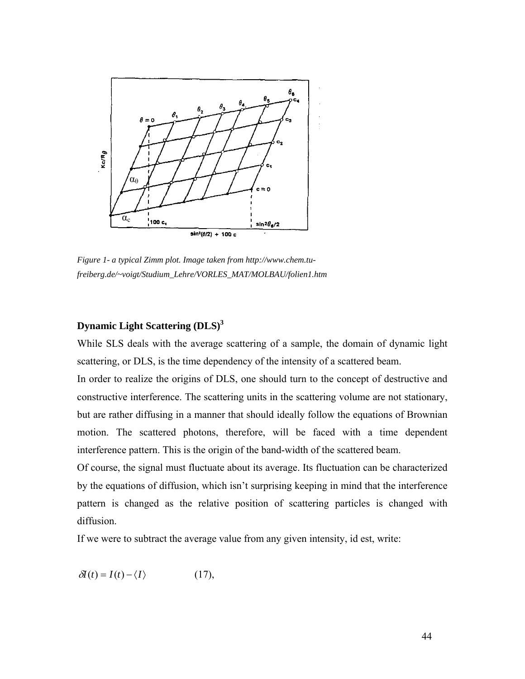

*Figure 1- a typical Zimm plot. Image taken from http://www.chem.tufreiberg.de/~voigt/Studium\_Lehre/VORLES\_MAT/MOLBAU/folien1.htm*

## **Dynamic Light Scattering (DLS)3**

While SLS deals with the average scattering of a sample, the domain of dynamic light scattering, or DLS, is the time dependency of the intensity of a scattered beam.

In order to realize the origins of DLS, one should turn to the concept of destructive and constructive interference. The scattering units in the scattering volume are not stationary, but are rather diffusing in a manner that should ideally follow the equations of Brownian motion. The scattered photons, therefore, will be faced with a time dependent interference pattern. This is the origin of the band-width of the scattered beam.

Of course, the signal must fluctuate about its average. Its fluctuation can be characterized by the equations of diffusion, which isn't surprising keeping in mind that the interference pattern is changed as the relative position of scattering particles is changed with diffusion.

If we were to subtract the average value from any given intensity, id est, write:

$$
\delta I(t) = I(t) - \langle I \rangle \tag{17},
$$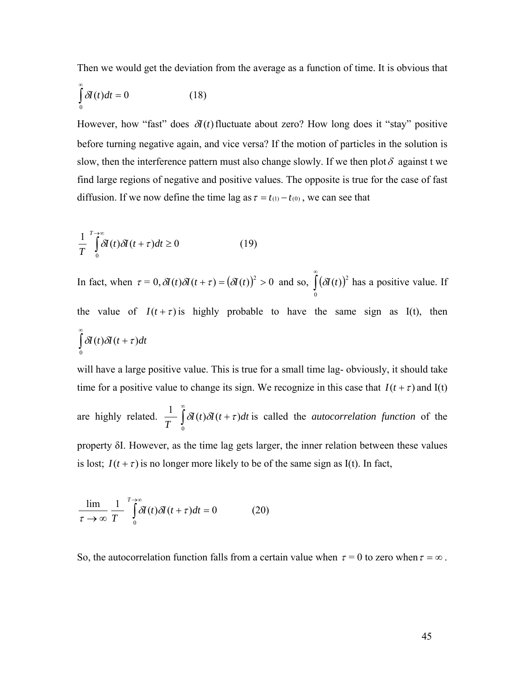Then we would get the deviation from the average as a function of time. It is obvious that

$$
\int_{0}^{\infty} \delta I(t)dt = 0
$$
 (18)

However, how "fast" does  $\delta I(t)$  fluctuate about zero? How long does it "stay" positive before turning negative again, and vice versa? If the motion of particles in the solution is slow, then the interference pattern must also change slowly. If we then plot  $\delta$  against t we find large regions of negative and positive values. The opposite is true for the case of fast diffusion. If we now define the time lag as  $\tau = t_{(1)} - t_{(0)}$ , we can see that

$$
\frac{1}{T} \int_{0}^{T \to \infty} \delta I(t) \delta I(t + \tau) dt \ge 0
$$
\n(19)

In fact, when  $\tau = 0$ ,  $\partial I(t) \partial I(t + \tau) = (\partial I(t))^2 > 0$  and so,  $\int_0^{\infty} (\partial I(t))$ 0  $\delta I(t)$ <sup>2</sup> has a positive value. If the value of  $I(t+\tau)$  is highly probable to have the same sign as I(t), then ∫ ∞  $\delta I(t)\delta I(t+\tau)dt$ 0

will have a large positive value. This is true for a small time lag- obviously, it should take time for a positive value to change its sign. We recognize in this case that  $I(t + \tau)$  and  $I(t)$ 

are highly related.  $\frac{1}{T} \int_{0}^{\infty}$ + 0  $\delta I(t)\delta I(t+\tau)dt$  is called the *autocorrelation function* of the

property δI. However, as the time lag gets larger, the inner relation between these values is lost;  $I(t + \tau)$  is no longer more likely to be of the same sign as I(t). In fact,

$$
\frac{\lim}{\tau \to \infty} \frac{1}{T} \int_{0}^{T \to \infty} \delta I(t) \delta I(t + \tau) dt = 0 \tag{20}
$$

So, the autocorrelation function falls from a certain value when  $\tau = 0$  to zero when  $\tau = \infty$ .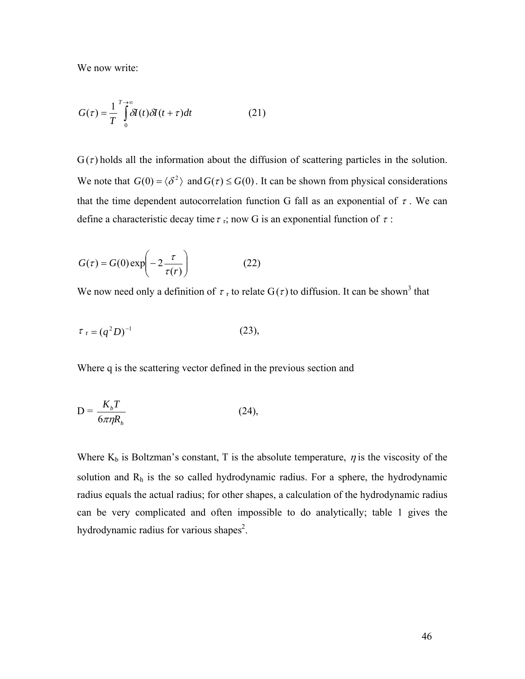We now write:

$$
G(\tau) = \frac{1}{T} \int_{0}^{T \to \infty} \delta I(t) \delta I(t + \tau) dt
$$
 (21)

 $G(\tau)$  holds all the information about the diffusion of scattering particles in the solution. We note that  $G(0) = \langle \delta^2 \rangle$  and  $G(\tau) \leq G(0)$ . It can be shown from physical considerations that the time dependent autocorrelation function G fall as an exponential of  $\tau$ . We can define a characteristic decay time  $\tau$ <sub>r</sub>; now G is an exponential function of  $\tau$ :

$$
G(\tau) = G(0) \exp\left(-2\frac{\tau}{\tau(r)}\right) \tag{22}
$$

We now need only a definition of  $\tau_r$  to relate  $G(\tau)$  to diffusion. It can be shown<sup>3</sup> that

$$
\tau_{\rm r} = (q^2 D)^{-1} \tag{23},
$$

Where q is the scattering vector defined in the previous section and

$$
D = \frac{K_b T}{6\pi \eta R_h} \tag{24}
$$

Where  $K_b$  is Boltzman's constant, T is the absolute temperature,  $\eta$  is the viscosity of the solution and  $R<sub>h</sub>$  is the so called hydrodynamic radius. For a sphere, the hydrodynamic radius equals the actual radius; for other shapes, a calculation of the hydrodynamic radius can be very complicated and often impossible to do analytically; table 1 gives the hydrodynamic radius for various shapes<sup>2</sup>.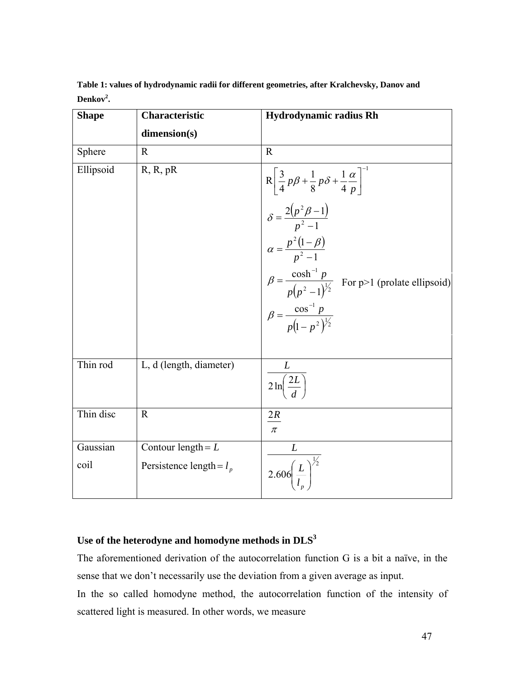| <b>Shape</b> | Characteristic             | <b>Hydrodynamic radius Rh</b>                                                                                                                                                                                                                                                                                                         |
|--------------|----------------------------|---------------------------------------------------------------------------------------------------------------------------------------------------------------------------------------------------------------------------------------------------------------------------------------------------------------------------------------|
|              | dimension(s)               |                                                                                                                                                                                                                                                                                                                                       |
| Sphere       | $\mathbf R$                | $\mathbf R$                                                                                                                                                                                                                                                                                                                           |
| Ellipsoid    | R, R, pR                   | R $\left[\frac{3}{4}p\beta + \frac{1}{8}p\delta + \frac{1}{4} \frac{\alpha}{p}\right]^{-1}$<br>$\delta = \frac{2(p^2\beta - 1)}{p^2 - 1}$<br>$\alpha = \frac{p^2(1-\beta)}{p^2 - 1}$<br>$\beta = \frac{\cosh^{-1} p}{p(p^2 - 1)^{\frac{1}{2}}}$ For p>1 (prolate ellipsoid)<br>$\beta = \frac{\cos^{-1} p}{p(1 - p^2)^{\frac{1}{2}}}$ |
|              |                            |                                                                                                                                                                                                                                                                                                                                       |
|              |                            |                                                                                                                                                                                                                                                                                                                                       |
| Thin rod     | L, d (length, diameter)    | $\frac{L}{2 \ln \left( \frac{2L}{l} \right)}$                                                                                                                                                                                                                                                                                         |
| Thin disc    | $\mathbf R$                | 2R<br>$\pi$                                                                                                                                                                                                                                                                                                                           |
| Gaussian     | Contour length = $L$       | L                                                                                                                                                                                                                                                                                                                                     |
| coil         | Persistence length = $l_p$ | $2.606 \left(\frac{L}{l}\right)^{\frac{1}{2}}$                                                                                                                                                                                                                                                                                        |

**Table 1: values of hydrodynamic radii for different geometries, after Kralchevsky, Danov and Denkov<sup>2</sup> .**

## **Use of the heterodyne and homodyne methods in DLS3**

The aforementioned derivation of the autocorrelation function G is a bit a naïve, in the sense that we don't necessarily use the deviation from a given average as input.

In the so called homodyne method, the autocorrelation function of the intensity of scattered light is measured. In other words, we measure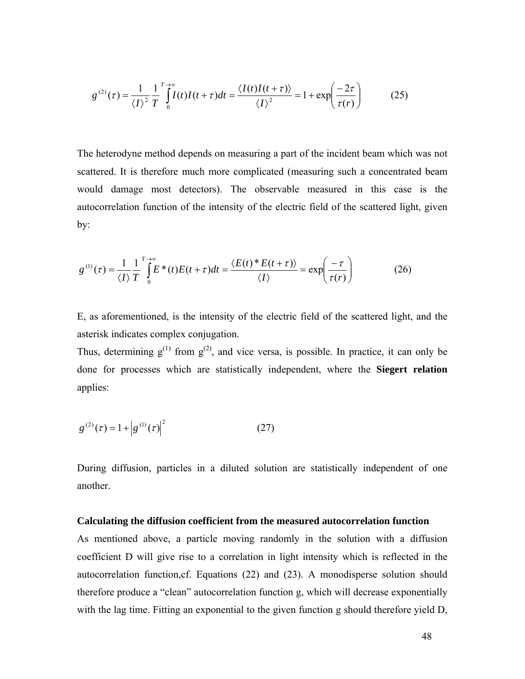$$
g^{(2)}(\tau) = \frac{1}{\langle I \rangle^2} \frac{1}{T} \int_0^{T \to \infty} I(t)I(t+\tau)dt = \frac{\langle I(t)I(t+\tau) \rangle}{\langle I \rangle^2} = 1 + \exp\left(\frac{-2\tau}{\tau(r)}\right) \tag{25}
$$

The heterodyne method depends on measuring a part of the incident beam which was not scattered. It is therefore much more complicated (measuring such a concentrated beam would damage most detectors). The observable measured in this case is the autocorrelation function of the intensity of the electric field of the scattered light, given by:

$$
g^{(1)}(\tau) = \frac{1}{\langle I \rangle} \frac{1}{T} \int_{0}^{T \to \infty} E^*(t) E(t + \tau) dt = \frac{\langle E(t)^* E(t + \tau) \rangle}{\langle I \rangle} = \exp\left(\frac{-\tau}{\tau(r)}\right)
$$
(26)

E, as aforementioned, is the intensity of the electric field of the scattered light, and the asterisk indicates complex conjugation.

Thus, determining  $g^{(1)}$  from  $g^{(2)}$ , and vice versa, is possible. In practice, it can only be done for processes which are statistically independent, where the **Siegert relation** applies:

$$
g^{(2)}(\tau) = 1 + \left| g^{(1)}(\tau) \right|^2 \tag{27}
$$

During diffusion, particles in a diluted solution are statistically independent of one another.

#### **Calculating the diffusion coefficient from the measured autocorrelation function**

As mentioned above, a particle moving randomly in the solution with a diffusion coefficient D will give rise to a correlation in light intensity which is reflected in the autocorrelation function,cf. Equations (22) and (23). A monodisperse solution should therefore produce a "clean" autocorrelation function g, which will decrease exponentially with the lag time. Fitting an exponential to the given function g should therefore yield D,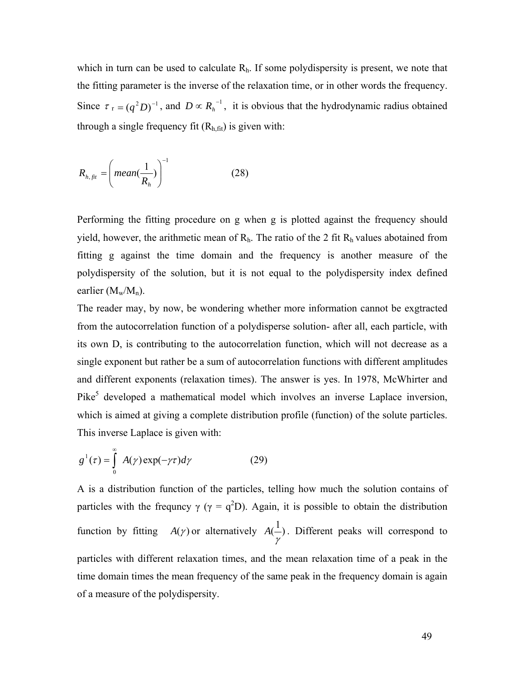which in turn can be used to calculate  $R<sub>h</sub>$ . If some polydispersity is present, we note that the fitting parameter is the inverse of the relaxation time, or in other words the frequency. Since  $\tau_1 = (q^2 D)^{-1}$ , and  $D \propto R_h^{-1}$ , it is obvious that the hydrodynamic radius obtained through a single frequency fit  $(R<sub>h,fit</sub>)$  is given with:

$$
R_{h,fit} = \left( \text{mean}(\frac{1}{R_h}) \right)^{-1} \tag{28}
$$

Performing the fitting procedure on g when g is plotted against the frequency should yield, however, the arithmetic mean of  $R_h$ . The ratio of the 2 fit  $R_h$  values abotained from fitting g against the time domain and the frequency is another measure of the polydispersity of the solution, but it is not equal to the polydispersity index defined earlier  $(M_w/M_n)$ .

The reader may, by now, be wondering whether more information cannot be exgtracted from the autocorrelation function of a polydisperse solution- after all, each particle, with its own D, is contributing to the autocorrelation function, which will not decrease as a single exponent but rather be a sum of autocorrelation functions with different amplitudes and different exponents (relaxation times). The answer is yes. In 1978, McWhirter and Pike<sup>5</sup> developed a mathematical model which involves an inverse Laplace inversion, which is aimed at giving a complete distribution profile (function) of the solute particles. This inverse Laplace is given with:

$$
g^{1}(\tau) = \int_{0}^{\infty} A(\gamma) \exp(-\gamma \tau) d\gamma
$$
 (29)

A is a distribution function of the particles, telling how much the solution contains of particles with the frequncy  $\gamma$  ( $\gamma = q^2D$ ). Again, it is possible to obtain the distribution function by fitting  $A(y)$  or alternatively  $A(\frac{1}{y})$ γ  $A(\frac{1}{n})$ . Different peaks will correspond to particles with different relaxation times, and the mean relaxation time of a peak in the time domain times the mean frequency of the same peak in the frequency domain is again of a measure of the polydispersity.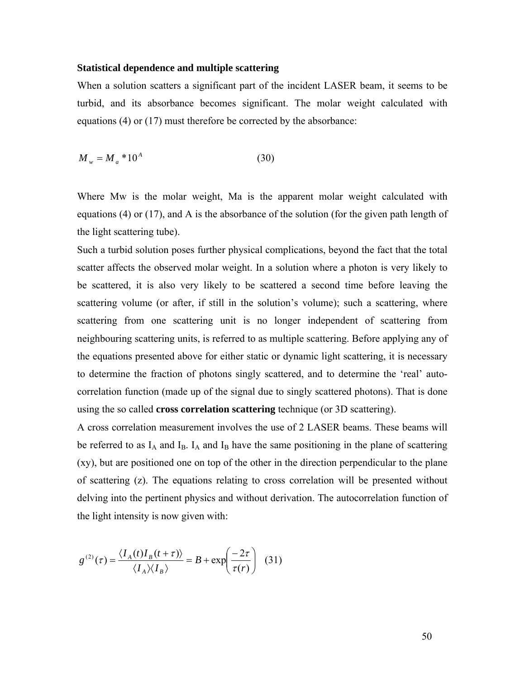## **Statistical dependence and multiple scattering**

When a solution scatters a significant part of the incident LASER beam, it seems to be turbid, and its absorbance becomes significant. The molar weight calculated with equations (4) or (17) must therefore be corrected by the absorbance:

$$
M_w = M_a * 10^A \tag{30}
$$

Where Mw is the molar weight, Ma is the apparent molar weight calculated with equations (4) or (17), and A is the absorbance of the solution (for the given path length of the light scattering tube).

Such a turbid solution poses further physical complications, beyond the fact that the total scatter affects the observed molar weight. In a solution where a photon is very likely to be scattered, it is also very likely to be scattered a second time before leaving the scattering volume (or after, if still in the solution's volume); such a scattering, where scattering from one scattering unit is no longer independent of scattering from neighbouring scattering units, is referred to as multiple scattering. Before applying any of the equations presented above for either static or dynamic light scattering, it is necessary to determine the fraction of photons singly scattered, and to determine the 'real' autocorrelation function (made up of the signal due to singly scattered photons). That is done using the so called **cross correlation scattering** technique (or 3D scattering).

A cross correlation measurement involves the use of 2 LASER beams. These beams will be referred to as  $I_A$  and  $I_B$ .  $I_A$  and  $I_B$  have the same positioning in the plane of scattering (xy), but are positioned one on top of the other in the direction perpendicular to the plane of scattering (z). The equations relating to cross correlation will be presented without delving into the pertinent physics and without derivation. The autocorrelation function of the light intensity is now given with:

$$
g^{(2)}(\tau) = \frac{\langle I_A(t)I_B(t+\tau)\rangle}{\langle I_A\rangle\langle I_B\rangle} = B + \exp\left(\frac{-2\tau}{\tau(r)}\right) \tag{31}
$$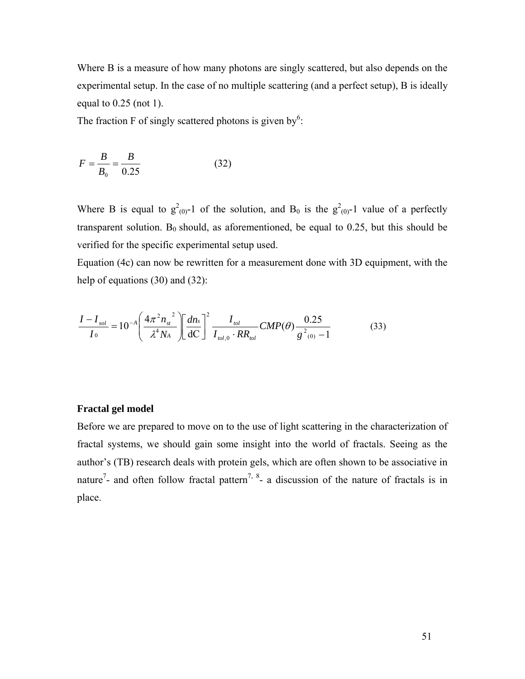Where B is a measure of how many photons are singly scattered, but also depends on the experimental setup. In the case of no multiple scattering (and a perfect setup), B is ideally equal to 0.25 (not 1).

The fraction F of singly scattered photons is given by<sup>6</sup>:

$$
F = \frac{B}{B_0} = \frac{B}{0.25}
$$
 (32)

Where B is equal to  $g^2_{(0)}$ -1 of the solution, and B<sub>0</sub> is the  $g^2_{(0)}$ -1 value of a perfectly transparent solution.  $B_0$  should, as aforementioned, be equal to 0.25, but this should be verified for the specific experimental setup used.

Equation (4c) can now be rewritten for a measurement done with 3D equipment, with the help of equations (30) and (32):

$$
\frac{I - I_{sol}}{I_0} = 10^{-A} \left( \frac{4\pi^2 n_{st}^2}{\lambda^4 N_A} \right) \left[ \frac{dn_s}{dC} \right]^2 \frac{I_{tol}}{I_{tol,0} \cdot RR_{tol}} CMP(\theta) \frac{0.25}{g^2_{(0)} - 1}
$$
(33)

## **Fractal gel model**

Before we are prepared to move on to the use of light scattering in the characterization of fractal systems, we should gain some insight into the world of fractals. Seeing as the author's (TB) research deals with protein gels, which are often shown to be associative in nature<sup>7</sup>- and often follow fractal pattern<sup>7, 8</sup>- a discussion of the nature of fractals is in place.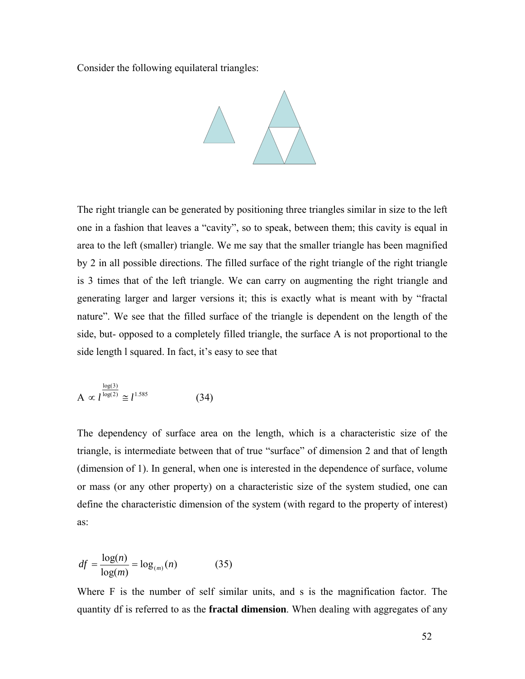Consider the following equilateral triangles:



The right triangle can be generated by positioning three triangles similar in size to the left one in a fashion that leaves a "cavity", so to speak, between them; this cavity is equal in area to the left (smaller) triangle. We me say that the smaller triangle has been magnified by 2 in all possible directions. The filled surface of the right triangle of the right triangle is 3 times that of the left triangle. We can carry on augmenting the right triangle and generating larger and larger versions it; this is exactly what is meant with by "fractal nature". We see that the filled surface of the triangle is dependent on the length of the side, but- opposed to a completely filled triangle, the surface A is not proportional to the side length l squared. In fact, it's easy to see that

$$
A \propto l^{\frac{\log(3)}{\log(2)}} \cong l^{1.585} \tag{34}
$$

The dependency of surface area on the length, which is a characteristic size of the triangle, is intermediate between that of true "surface" of dimension 2 and that of length (dimension of 1). In general, when one is interested in the dependence of surface, volume or mass (or any other property) on a characteristic size of the system studied, one can define the characteristic dimension of the system (with regard to the property of interest) as:

$$
df = \frac{\log(n)}{\log(m)} = \log_{(m)}(n) \tag{35}
$$

Where F is the number of self similar units, and s is the magnification factor. The quantity df is referred to as the **fractal dimension**. When dealing with aggregates of any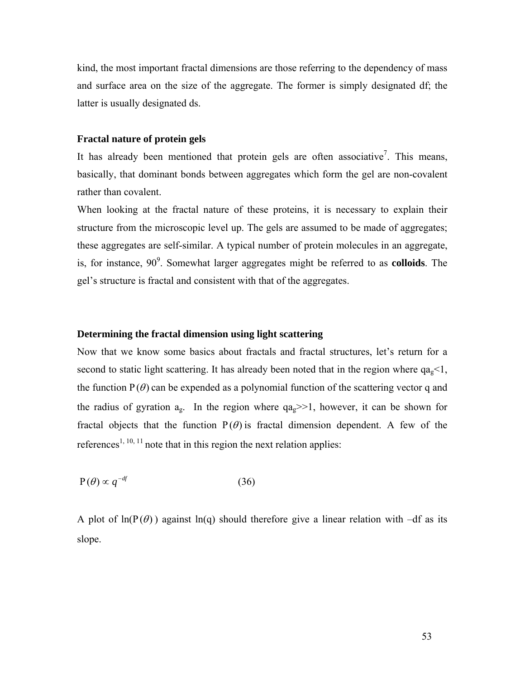kind, the most important fractal dimensions are those referring to the dependency of mass and surface area on the size of the aggregate. The former is simply designated df; the latter is usually designated ds.

## **Fractal nature of protein gels**

It has already been mentioned that protein gels are often associative<sup>7</sup>. This means, basically, that dominant bonds between aggregates which form the gel are non-covalent rather than covalent.

When looking at the fractal nature of these proteins, it is necessary to explain their structure from the microscopic level up. The gels are assumed to be made of aggregates; these aggregates are self-similar. A typical number of protein molecules in an aggregate, is, for instance, 90<sup>9</sup>. Somewhat larger aggregates might be referred to as **colloids**. The gel's structure is fractal and consistent with that of the aggregates.

## **Determining the fractal dimension using light scattering**

Now that we know some basics about fractals and fractal structures, let's return for a second to static light scattering. It has already been noted that in the region where  $qa_{\text{g}}<1$ , the function  $P(\theta)$  can be expended as a polynomial function of the scattering vector q and the radius of gyration  $a_{\alpha}$ . In the region where  $qa_{\alpha} \gg 1$ , however, it can be shown for fractal objects that the function  $P(\theta)$  is fractal dimension dependent. A few of the references<sup>1, 10, 11</sup> note that in this region the next relation applies:

$$
P(\theta) \propto q^{-df} \tag{36}
$$

A plot of  $ln(P(\theta))$  against  $ln(q)$  should therefore give a linear relation with –df as its slope.